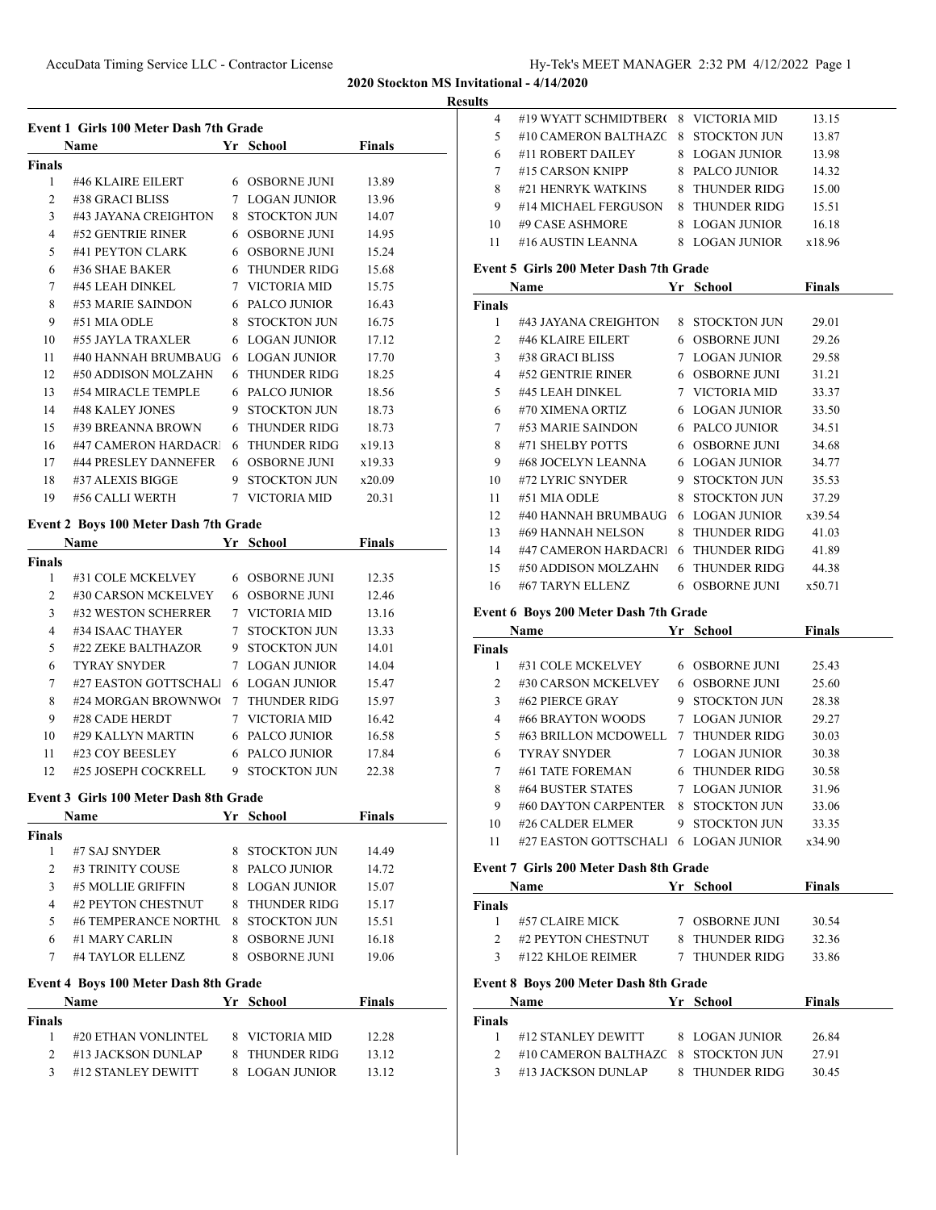#### **Results**

| Event 1 Girls 100 Meter Dash 7th Grade |                                              |  |                                  |               |  |  |
|----------------------------------------|----------------------------------------------|--|----------------------------------|---------------|--|--|
|                                        | Name                                         |  | Yr School                        | <b>Finals</b> |  |  |
| Finals                                 |                                              |  |                                  |               |  |  |
| $1 \quad$                              | #46 KLAIRE EILERT 6 OSBORNE JUNI             |  |                                  | 13.89         |  |  |
|                                        | 2 #38 GRACI BLISS                            |  | 7 LOGAN JUNIOR                   | 13.96         |  |  |
|                                        | 3 #43 JAYANA CREIGHTON 8 STOCKTON JUN        |  |                                  | 14.07         |  |  |
| $\overline{4}$                         | #52 GENTRIE RINER                            |  | 6 OSBORNE JUNI                   | 14.95         |  |  |
| 5                                      | #41 PEYTON CLARK                             |  | 6 OSBORNE JUNI                   | 15.24         |  |  |
| 6                                      | #36 SHAE BAKER                               |  | 6 THUNDER RIDG                   | 15.68         |  |  |
| $\tau$                                 | #45 LEAH DINKEL                              |  | 7 VICTORIA MID                   | 15.75         |  |  |
| 8                                      | #53 MARIE SAINDON 6 PALCO JUNIOR             |  |                                  | 16.43         |  |  |
| 9                                      | #51 MIA ODLE                                 |  | 8 STOCKTON JUN                   | 16.75         |  |  |
| 10                                     | #55 JAYLA TRAXLER                            |  | 6 LOGAN JUNIOR                   | 17.12         |  |  |
| 11                                     | #40 HANNAH BRUMBAUG                          |  | 6 LOGAN JUNIOR                   | 17.70         |  |  |
| 12                                     | #50 ADDISON MOLZAHN                          |  | 6 THUNDER RIDG                   | 18.25         |  |  |
| 13                                     | #54 MIRACLE TEMPLE                           |  | 6 PALCO JUNIOR                   | 18.56         |  |  |
| 14                                     | #48 KALEY JONES                              |  | 9 STOCKTON JUN                   | 18.73         |  |  |
| 15                                     | #39 BREANNA BROWN                            |  | 6 THUNDER RIDG                   | 18.73         |  |  |
| 16                                     | #47 CAMERON HARDACRI                         |  | 6 THUNDER RIDG                   | x19.13        |  |  |
|                                        | 17 #44 PRESLEY DANNEFER 6 OSBORNE JUNI       |  |                                  | x19.33        |  |  |
| 18                                     | #37 ALEXIS BIGGE                             |  | 9 STOCKTON JUN                   | x20.09        |  |  |
| 19                                     | #56 CALLI WERTH                              |  | 7 VICTORIA MID                   | 20.31         |  |  |
|                                        | Event 2 Boys 100 Meter Dash 7th Grade        |  |                                  |               |  |  |
|                                        | <b>Name</b>                                  |  | Yr School                        | <b>Finals</b> |  |  |
| Finals                                 |                                              |  |                                  |               |  |  |
| $1 \quad$                              | #31 COLE MCKELVEY 6 OSBORNE JUNI             |  |                                  | 12.35         |  |  |
| 2                                      | #30 CARSON MCKELVEY 6 OSBORNE JUNI           |  |                                  | 12.46         |  |  |
| 3                                      | #32 WESTON SCHERRER                          |  | 7 VICTORIA MID                   | 13.16         |  |  |
| $\overline{4}$                         | #34 ISAAC THAYER                             |  | 7 STOCKTON JUN                   | 13.33         |  |  |
| 5                                      | #22 ZEKE BALTHAZOR 9 STOCKTON JUN            |  |                                  | 14.01         |  |  |
| 6                                      | <b>TYRAY SNYDER</b>                          |  | 7 LOGAN JUNIOR                   | 14.04         |  |  |
| 7                                      | #27 EASTON GOTTSCHALI 6 LOGAN JUNIOR         |  |                                  | 15.47         |  |  |
| 8                                      | #24 MORGAN BROWNWO( 7 THUNDER RIDG           |  |                                  | 15.97         |  |  |
| 9                                      | #28 CADE HERDT                               |  | 7 VICTORIA MID                   | 16.42         |  |  |
| 10                                     | #29 KALLYN MARTIN 6 PALCO JUNIOR             |  |                                  | 16.58         |  |  |
| 11                                     | #23 COY BEESLEY                              |  | 6 PALCO JUNIOR                   | 17.84         |  |  |
| 12                                     | #25 JOSEPH COCKRELL                          |  | 9 STOCKTON JUN                   | 22.38         |  |  |
|                                        |                                              |  |                                  |               |  |  |
|                                        | Event 3 Girls 100 Meter Dash 8th Grade       |  |                                  |               |  |  |
|                                        | Name Yr School Finals                        |  |                                  |               |  |  |
| Finals                                 |                                              |  |                                  |               |  |  |
|                                        | 1 #7 SAJ SNYDER                              |  | 8 STOCKTON JUN<br>8 PALCO JUNIOR | 14.49         |  |  |
|                                        | 2 #3 TRINITY COUSE                           |  |                                  | 14.72         |  |  |
|                                        | 3 #5 MOLLIE GRIFFIN                          |  | 8 LOGAN JUNIOR                   | 15.07         |  |  |
|                                        | 4 #2 PEYTON CHESTNUT 8 THUNDER RIDG          |  |                                  | 15.17         |  |  |
| 5                                      | #6 TEMPERANCE NORTHU 8 STOCKTON JUN          |  |                                  | 15.51         |  |  |
|                                        | 6 #1 MARY CARLIN                             |  | 8 OSBORNE JUNI                   | 16.18         |  |  |
|                                        | 7 #4 TAYLOR ELLENZ 8 OSBORNE JUNI            |  |                                  | 19.06         |  |  |
|                                        | <b>Event 4 Boys 100 Meter Dash 8th Grade</b> |  |                                  |               |  |  |
|                                        | Name Yr School Finals                        |  |                                  |               |  |  |
| Finals                                 |                                              |  |                                  |               |  |  |
|                                        | 1 #20 ETHAN VONLINTEL 8 VICTORIA MID 12.28   |  |                                  |               |  |  |

2 #13 JACKSON DUNLAP 8 THUNDER RIDG 13.12 3 #12 STANLEY DEWITT 8 LOGAN JUNIOR 13.12

| lts                                    |                       |    |                     |        |  |
|----------------------------------------|-----------------------|----|---------------------|--------|--|
| 4                                      | #19 WYATT SCHMIDTBERG |    | 8 VICTORIA MID      | 13.15  |  |
| 5                                      | #10 CAMERON BALTHAZC  | 8  | STOCKTON JUN        | 13.87  |  |
| 6                                      | #11 ROBERT DAILEY     | 8. | LOGAN JUNIOR        | 13.98  |  |
| 7                                      | #15 CARSON KNIPP      | 8. | PALCO JUNIOR        | 14.32  |  |
| 8                                      | #21 HENRYK WATKINS    | 8. | <b>THUNDER RIDG</b> | 15.00  |  |
| 9                                      | #14 MICHAEL FERGUSON  | 8. | <b>THUNDER RIDG</b> | 15.51  |  |
| 10                                     | #9 CASE ASHMORE       | 8. | LOGAN JUNIOR        | 16.18  |  |
| 11                                     | #16 AUSTIN LEANNA     | 8. | LOGAN JUNIOR        | x18.96 |  |
| Event 5 Girls 200 Meter Dash 7th Grade |                       |    |                     |        |  |
| Name                                   |                       | Уr | School              | Finals |  |

# $\overline{a}$

| <b>Finals</b> |                      |    |                     |        |  |
|---------------|----------------------|----|---------------------|--------|--|
| 1             | #43 JAYANA CREIGHTON | 8. | STOCKTON JUN        | 29.01  |  |
| 2             | #46 KLAIRE EILERT    | 6  | OSBORNE JUNI        | 29.26  |  |
| 3             | #38 GRACI BLISS      | 7  | <b>LOGAN JUNIOR</b> | 29.58  |  |
| 4             | #52 GENTRIE RINER    | 6  | <b>OSBORNE JUNI</b> | 31.21  |  |
| 5             | #45 LEAH DINKEL      |    | 7 VICTORIA MID      | 33.37  |  |
| 6             | #70 XIMENA ORTIZ     | 6  | LOGAN JUNIOR        | 33.50  |  |
| 7             | #53 MARIE SAINDON    | 6  | PALCO JUNIOR        | 34.51  |  |
| 8             | #71 SHELBY POTTS     | 6  | OSBORNE JUNI        | 34.68  |  |
| 9             | #68 JOCELYN LEANNA   | 6  | LOGAN JUNIOR        | 34.77  |  |
| 10            | #72 LYRIC SNYDER     | 9. | STOCKTON JUN        | 35.53  |  |
| 11            | #51 MIA ODLE         | 8  | <b>STOCKTON JUN</b> | 37.29  |  |
| 12            | #40 HANNAH BRUMBAUG  | 6  | LOGAN JUNIOR        | x39.54 |  |
| 13            | #69 HANNAH NELSON    | 8  | THUNDER RIDG        | 41.03  |  |
| 14            | #47 CAMERON HARDACRI | 6  | <b>THUNDER RIDG</b> | 41.89  |  |
| 15            | #50 ADDISON MOLZAHN  | 6  | THUNDER RIDG        | 44.38  |  |
| 16            | #67 TARYN ELLENZ     | 6  | <b>OSBORNE JUNI</b> | x50.71 |  |

#### **Event 6 Boys 200 Meter Dash 7th Grade**

|                | <b>Name</b><br>Yr School |    |                     | <b>Finals</b> |
|----------------|--------------------------|----|---------------------|---------------|
| <b>Finals</b>  |                          |    |                     |               |
|                | #31 COLE MCKELVEY        | 6. | <b>OSBORNE JUNI</b> | 25.43         |
| $\mathfrak{D}$ | #30 CARSON MCKELVEY      | 6  | <b>OSBORNE JUNI</b> | 25.60         |
| 3              | #62 PIERCE GRAY          | 9  | STOCKTON JUN        | 28.38         |
| 4              | #66 BRAYTON WOODS        |    | LOGAN JUNIOR        | 29.27         |
| 5              | #63 BRILLON MCDOWELL     | 7  | <b>THUNDER RIDG</b> | 30.03         |
| 6              | <b>TYRAY SNYDER</b>      |    | LOGAN JUNIOR        | 30.38         |
| 7              | #61 TATE FOREMAN         |    | 6 THUNDER RIDG      | 30.58         |
| 8              | #64 BUSTER STATES        | 7  | LOGAN JUNIOR        | 31.96         |
| 9              | #60 DAYTON CARPENTER     | 8  | STOCKTON JUN        | 33.06         |
| 10             | #26 CALDER ELMER         | 9  | STOCKTON JUN        | 33.35         |
| 11             | #27 EASTON GOTTSCHALI    | 6  | LOGAN JUNIOR        | x34.90        |
|                |                          |    |                     |               |

#### **Event 7 Girls 200 Meter Dash 8th Grade**

| Name           |                                                                             | Yr | School              | <b>Finals</b> |  |  |  |
|----------------|-----------------------------------------------------------------------------|----|---------------------|---------------|--|--|--|
| <b>Finals</b>  |                                                                             |    |                     |               |  |  |  |
| 1              | #57 CLAIRE MICK                                                             |    | <b>OSBORNE JUNI</b> | 30.54         |  |  |  |
| $\mathfrak{D}$ | #2 PEYTON CHESTNUT                                                          | 8  | <b>THUNDER RIDG</b> | 32.36         |  |  |  |
| 3              | #122 KHLOE REIMER                                                           | 7  | <b>THUNDER RIDG</b> | 33.86         |  |  |  |
|                | Event 8 Boys 200 Meter Dash 8th Grade<br><b>Finals</b><br>Name<br>Yr School |    |                     |               |  |  |  |
| <b>Finals</b>  |                                                                             |    |                     |               |  |  |  |
|                | #12 STANLEY DEWITT                                                          | 8. | LOGAN JUNIOR        | 26.84         |  |  |  |
| 2              | #10 CAMERON BALTHAZC                                                        | 8  | STOCKTON JUN        | 27.91         |  |  |  |
| 3              | #13 JACKSON DUNLAP                                                          | 8  | <b>THUNDER RIDG</b> | 30.45         |  |  |  |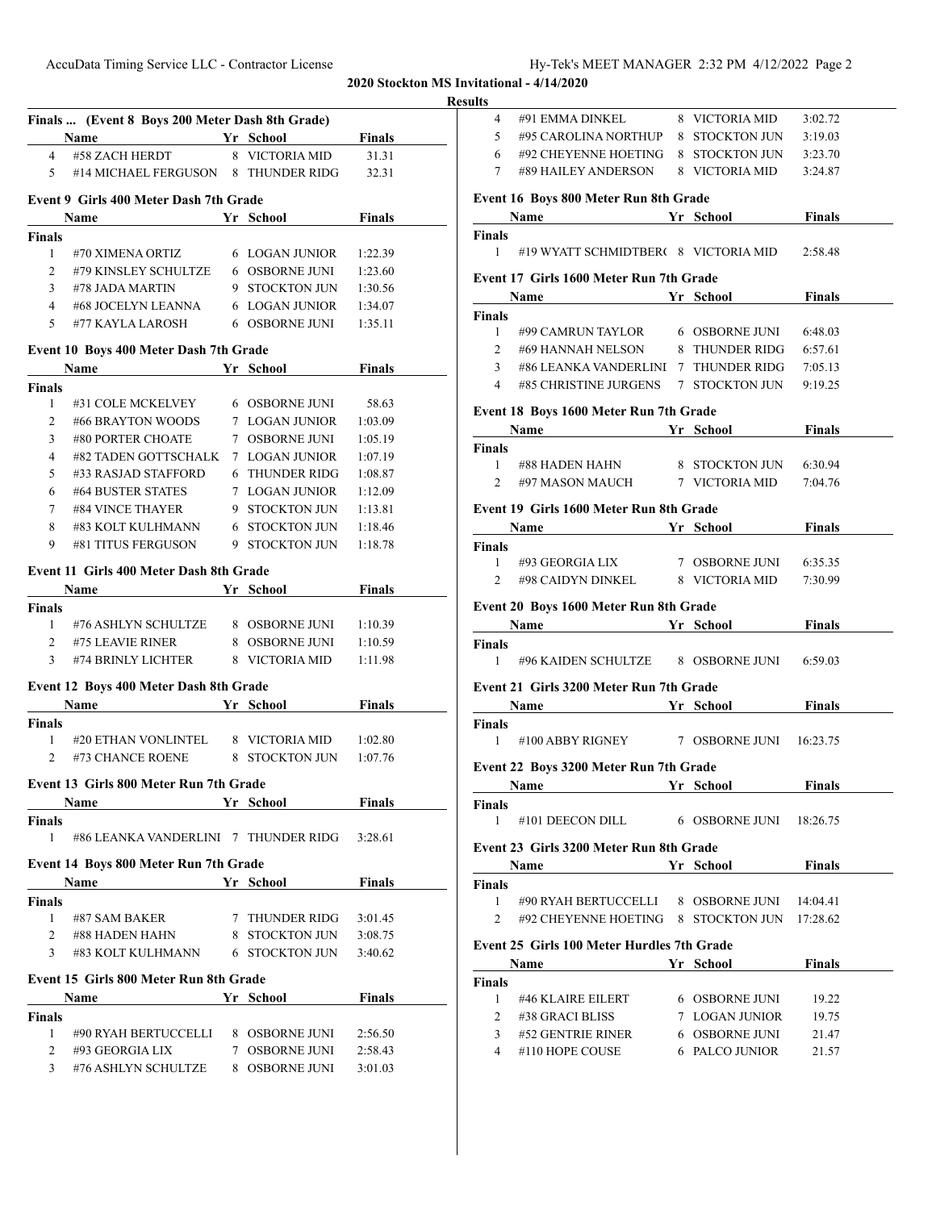AccuData Timing Service LLC - Contractor License Hy-Tek's MEET MANAGER 2:32 PM 4/12/2022 Page 2

**2020 Stockton MS Invitational - 4/14/2020**

**Results**

|                 | <u>In School</u><br>Name                     |                       | Finals        |
|-----------------|----------------------------------------------|-----------------------|---------------|
| $\overline{4}$  | #58 ZACH HERDT                               | 8 VICTORIA MID        | 31.31         |
|                 | 5 #14 MICHAEL FERGUSON 8 THUNDER RIDG        |                       | 32.31         |
|                 |                                              |                       |               |
|                 | Event 9 Girls 400 Meter Dash 7th Grade       |                       |               |
|                 | <b>School Finals</b><br><b>Name</b>          |                       |               |
| <b>Finals</b>   |                                              |                       |               |
| 1               | #70 XIMENA ORTIZ                             | 6 LOGAN JUNIOR        | 1:22.39       |
| 2               | #79 KINSLEY SCHULTZE 6 OSBORNE JUNI          |                       | 1:23.60       |
| $\mathbf{3}$    | #78 JADA MARTIN                              | 9 STOCKTON JUN        | 1:30.56       |
| $\overline{4}$  | #68 JOCELYN LEANNA                           | <b>6 LOGAN JUNIOR</b> | 1:34.07       |
| 5               | #77 KAYLA LAROSH                             | 6 OSBORNE JUNI        | 1:35.11       |
|                 | Event 10 Boys 400 Meter Dash 7th Grade       |                       |               |
|                 | Name Yr School                               |                       | <b>Finals</b> |
| <b>Finals</b>   |                                              |                       |               |
| $\mathbf{1}$    | #31 COLE MCKELVEY 6 OSBORNE JUNI             |                       | 58.63         |
| $\overline{2}$  | #66 BRAYTON WOODS 7 LOGAN JUNIOR             |                       | 1:03.09       |
| $\overline{3}$  | #80 PORTER CHOATE                            | 7 OSBORNE JUNI        | 1:05.19       |
| $\overline{4}$  | #82 TADEN GOTTSCHALK 7 LOGAN JUNIOR          |                       | 1:07.19       |
| 5               | #33 RASJAD STAFFORD                          | 6 THUNDER RIDG        | 1:08.87       |
| 6               | #64 BUSTER STATES                            | 7 LOGAN JUNIOR        | 1:12.09       |
| $7\overline{ }$ | #84 VINCE THAYER                             | 9 STOCKTON JUN        | 1:13.81       |
| 8               | #83 KOLT KULHMANN 6 STOCKTON JUN             |                       | 1:18.46       |
| 9               | #81 TITUS FERGUSON                           | 9 STOCKTON JUN        | 1:18.78       |
|                 |                                              |                       |               |
|                 | Event 11 Girls 400 Meter Dash 8th Grade      |                       |               |
|                 | <u><b>School</b></u> School<br>Name          |                       | <b>Finals</b> |
| <b>Finals</b>   |                                              |                       |               |
| $\mathbf{1}$    | #76 ASHLYN SCHULTZE 8 OSBORNE JUNI           |                       | 1:10.39       |
| $\mathbf{2}$    | #75 LEAVIE RINER                             | 8 OSBORNE JUNI        | 1:10.59       |
|                 | 3 #74 BRINLY LICHTER 8 VICTORIA MID          |                       | 1:11.98       |
|                 | Event 12 Boys 400 Meter Dash 8th Grade       |                       |               |
|                 | Name Yr School Finals                        |                       |               |
|                 |                                              |                       |               |
| <b>Finals</b>   | 1 #20 ETHAN VONLINTEL 8 VICTORIA MID 1:02.80 |                       |               |
|                 | 2 #73 CHANCE ROENE 8 STOCKTON JUN            |                       | 1:07.76       |
|                 |                                              |                       |               |
|                 | Event 13 Girls 800 Meter Run 7th Grade       |                       |               |
|                 | Name                                         | Yr School             | <b>Finals</b> |
| <b>Finals</b>   |                                              |                       |               |
| 1               | #86 LEANKA VANDERLINI 7 THUNDER RIDG         |                       | 3:28.61       |
|                 | Event 14 Boys 800 Meter Run 7th Grade        |                       |               |
|                 | Name                                         | Yr School             | <b>Finals</b> |
| <b>Finals</b>   |                                              |                       |               |
| $\mathbf{1}$    | #87 SAM BAKER                                | 7 THUNDER RIDG        | 3:01.45       |
|                 | 2 #88 HADEN HAHN                             | 8 STOCKTON JUN        | 3:08.75       |
|                 | 3 #83 KOLT KULHMANN 6 STOCKTON JUN           |                       | 3:40.62       |
|                 |                                              |                       |               |
|                 | Event 15 Girls 800 Meter Run 8th Grade       |                       |               |
|                 | Name                                         | Yr School             | <b>Finals</b> |
|                 |                                              |                       |               |
| <b>Finals</b>   | #90 RYAH BERTUCCELLI 8 OSBORNE JUNI          |                       | 2:56.50       |
| 1               |                                              |                       |               |
|                 | 2 #93 GEORGIA LIX                            | 7 OSBORNE JUNI        | 2:58.43       |

| uns            |                                                                                                                                                                                              |                |               |  |
|----------------|----------------------------------------------------------------------------------------------------------------------------------------------------------------------------------------------|----------------|---------------|--|
| $4 \quad$      | #91 EMMA DINKEL                                                                                                                                                                              | 8 VICTORIA MID | 3:02.72       |  |
| 5              | #95 CAROLINA NORTHUP 8 STOCKTON JUN                                                                                                                                                          |                | 3:19.03       |  |
|                | $6$ #92 CHEYENNE HOETING $\,$ 8 $\,$ STOCKTON JUN                                                                                                                                            |                | 3:23.70       |  |
|                | 7 #89 HAILEY ANDERSON 8 VICTORIA MID                                                                                                                                                         |                | 3:24.87       |  |
|                |                                                                                                                                                                                              |                |               |  |
|                | Event 16 Boys 800 Meter Run 8th Grade                                                                                                                                                        |                |               |  |
|                | <b>Same School Einals</b> School Finals                                                                                                                                                      |                |               |  |
| Finals         | 1 #19 WYATT SCHMIDTBER( 8 VICTORIA MID 2:58.48                                                                                                                                               |                |               |  |
|                | Event 17 Girls 1600 Meter Run 7th Grade                                                                                                                                                      |                |               |  |
|                | Name Yr School Finals                                                                                                                                                                        |                |               |  |
| <b>Finals</b>  |                                                                                                                                                                                              |                |               |  |
|                | 1 #99 CAMRUN TAYLOR 6 OSBORNE JUNI 6:48.03                                                                                                                                                   |                |               |  |
|                | 2 #69 HANNAH NELSON 8 THUNDER RIDG                                                                                                                                                           |                | 6:57.61       |  |
| 3 <sup>7</sup> | #86 LEANKA VANDERLINI 7 THUNDER RIDG 7:05.13                                                                                                                                                 |                |               |  |
|                | 4 #85 CHRISTINE JURGENS 7 STOCKTON JUN                                                                                                                                                       |                | 9:19.25       |  |
|                |                                                                                                                                                                                              |                |               |  |
|                | Event 18 Boys 1600 Meter Run 7th Grade                                                                                                                                                       |                |               |  |
|                | <b>Name School Property Property Property Property Property Property Property Property Property Property Property Property Property Property Property Property Property Property Propert</b> |                |               |  |
| <b>Finals</b>  |                                                                                                                                                                                              |                |               |  |
|                | 1 #88 HADEN HAHN 8 STOCKTON JUN 6:30.94                                                                                                                                                      |                |               |  |
|                | 2 #97 MASON MAUCH 7 VICTORIA MID 7:04.76                                                                                                                                                     |                |               |  |
|                | Event 19 Girls 1600 Meter Run 8th Grade                                                                                                                                                      |                |               |  |
|                | <b>Solution School Example 3 Assume School Example 3 Assume School Example 3 Assume School Example 3 Assume School</b>                                                                       |                |               |  |
| Finals         |                                                                                                                                                                                              |                |               |  |
|                | 1 #93 GEORGIA LIX 7 OSBORNE JUNI 6:35.35                                                                                                                                                     |                |               |  |
|                | 2 #98 CAIDYN DINKEL 8 VICTORIA MID                                                                                                                                                           |                | 7:30.99       |  |
|                |                                                                                                                                                                                              |                |               |  |
|                | Event 20 Boys 1600 Meter Run 8th Grade                                                                                                                                                       |                |               |  |
|                | Name Yr School Finals                                                                                                                                                                        |                |               |  |
| <b>Finals</b>  |                                                                                                                                                                                              |                |               |  |
|                | 1 #96 KAIDEN SCHULTZE 8 OSBORNE JUNI 6:59.03                                                                                                                                                 |                |               |  |
|                | Event 21 Girls 3200 Meter Run 7th Grade                                                                                                                                                      |                |               |  |
|                | <b>Name School Einals</b>                                                                                                                                                                    |                |               |  |
| Finals         |                                                                                                                                                                                              |                |               |  |
|                | 1 #100 ABBY RIGNEY 7 OSBORNE JUNI 16:23.75                                                                                                                                                   |                |               |  |
|                |                                                                                                                                                                                              |                |               |  |
|                | Event 22 Boys 3200 Meter Run 7th Grade                                                                                                                                                       |                |               |  |
|                | Name Yr School Finals                                                                                                                                                                        |                |               |  |
| <b>Finals</b>  |                                                                                                                                                                                              |                |               |  |
| $\mathbf{1}$   | #101 DEECON DILL 6 OSBORNE JUNI 18:26.75                                                                                                                                                     |                |               |  |
|                | Event 23 Girls 3200 Meter Run 8th Grade                                                                                                                                                      |                |               |  |
|                | Name Yr School Finals                                                                                                                                                                        |                |               |  |
| <b>Finals</b>  |                                                                                                                                                                                              |                |               |  |
| 1              | #90 RYAH BERTUCCELLI 8 OSBORNE JUNI 14:04.41                                                                                                                                                 |                |               |  |
| 2              | #92 CHEYENNE HOETING 8 STOCKTON JUN 17:28.62                                                                                                                                                 |                |               |  |
|                |                                                                                                                                                                                              |                |               |  |
|                | Event 25 Girls 100 Meter Hurdles 7th Grade                                                                                                                                                   |                |               |  |
|                | <b>School</b> School<br><b>Name</b>                                                                                                                                                          |                | <b>Finals</b> |  |
| <b>Finals</b>  |                                                                                                                                                                                              |                |               |  |
| $\mathbf{1}$   | #46 KLAIRE EILERT                                                                                                                                                                            | 6 OSBORNE JUNI | 19.22         |  |
| $\overline{2}$ | #38 GRACI BLISS                                                                                                                                                                              | 7 LOGAN JUNIOR | 19.75         |  |
| 3              | #52 GENTRIE RINER                                                                                                                                                                            | 6 OSBORNE JUNI | 21.47         |  |
|                | 4 #110 HOPE COUSE 6 PALCO JUNIOR 21.57                                                                                                                                                       |                |               |  |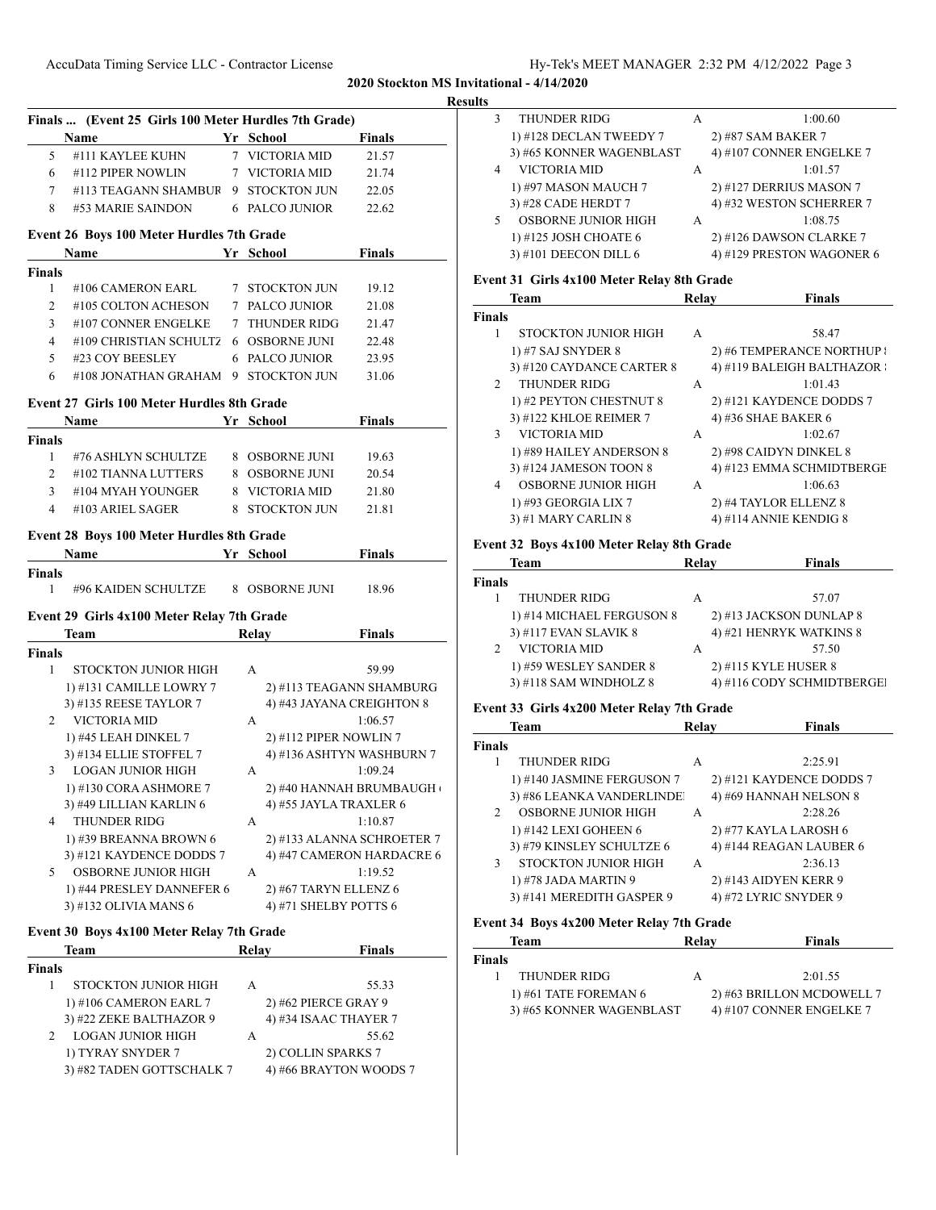#### **Results**

|                | Finals  (Event 25 Girls 100 Meter Hurdles 7th Grade) |                        |                            |
|----------------|------------------------------------------------------|------------------------|----------------------------|
|                | Name                                                 | Yr School              | <b>Finals</b>              |
| 5              | #111 KAYLEE KUHN                                     | 7 VICTORIA MID         | 21.57                      |
| 6              | #112 PIPER NOWLIN                                    | 7 VICTORIA MID         | 21.74                      |
|                | 7 #113 TEAGANN SHAMBUR 9 STOCKTON JUN                |                        | 22.05                      |
| 8              | #53 MARIE SAINDON                                    | 6 PALCO JUNIOR         | 22.62                      |
|                | Event 26 Boys 100 Meter Hurdles 7th Grade            |                        |                            |
|                | <b>Name</b>                                          | Yr School              | Finals                     |
| <b>Finals</b>  |                                                      |                        |                            |
| 1              | #106 CAMERON EARL                                    | 7 STOCKTON JUN         | 19.12                      |
| 2              | #105 COLTON ACHESON                                  | 7 PALCO JUNIOR         | 21.08                      |
| 3              | #107 CONNER ENGELKE                                  | 7 THUNDER RIDG         | 21.47                      |
| 4              | #109 CHRISTIAN SCHULTZ                               | <b>6 OSBORNE JUNI</b>  | 22.48                      |
| 5              | #23 COY BEESLEY                                      | 6 PALCO JUNIOR         | 23.95                      |
| 6              | #108 JONATHAN GRAHAM                                 | 9 STOCKTON JUN         | 31.06                      |
|                | Event 27 Girls 100 Meter Hurdles 8th Grade           |                        |                            |
|                | Name                                                 | Yr School              | <b>Finals</b>              |
| Finals         |                                                      |                        |                            |
| $\mathbf{1}$   | #76 ASHLYN SCHULTZE                                  | 8 OSBORNE JUNI         | 19.63                      |
| $\overline{2}$ | #102 TIANNA LUTTERS                                  | 8 OSBORNE JUNI         | 20.54                      |
| 3              | #104 MYAH YOUNGER                                    | 8 VICTORIA MID         | 21.80                      |
| 4              | #103 ARIEL SAGER                                     | 8 STOCKTON JUN         | 21.81                      |
|                | <b>Event 28 Boys 100 Meter Hurdles 8th Grade</b>     |                        |                            |
|                | Name Yr School                                       |                        | <b>Finals</b>              |
| <b>Finals</b>  |                                                      |                        |                            |
| 1              | #96 KAIDEN SCHULTZE 8 OSBORNE JUNI                   |                        | 18.96                      |
|                | Event 29 Girls 4x100 Meter Relay 7th Grade           |                        |                            |
|                | Team                                                 | Relay                  | <b>Finals</b>              |
| <b>Finals</b>  |                                                      |                        |                            |
| 1              | STOCKTON JUNIOR HIGH                                 | A                      | 59.99                      |
|                | 1) #131 CAMILLE LOWRY 7                              |                        | 2) #113 TEAGANN SHAMBURG   |
|                | 3) #135 REESE TAYLOR 7                               |                        | 4) #43 JAYANA CREIGHTON 8  |
| 2              | <b>VICTORIA MID</b>                                  | A                      | 1:06.57                    |
|                | 1) #45 LEAH DINKEL 7                                 | 2) #112 PIPER NOWLIN 7 |                            |
|                | 3) #134 ELLIE STOFFEL 7                              |                        | 4) #136 ASHTYN WASHBURN 7  |
| 3              | <b>LOGAN JUNIOR HIGH</b>                             | A                      | 1:09.24                    |
|                | 1) #130 CORA ASHMORE 7                               |                        | 2) #40 HANNAH BRUMBAUGH    |
|                | 3) #49 LILLIAN KARLIN 6                              | 4) #55 JAYLA TRAXLER 6 |                            |
| 4              | <b>THUNDER RIDG</b>                                  | А                      | 1:10.87                    |
|                | 1) #39 BREANNA BROWN 6                               |                        | 2) #133 ALANNA SCHROETER 7 |
|                | 3) #121 KAYDENCE DODDS 7                             |                        | 4) #47 CAMERON HARDACRE 6  |
| 5              | <b>OSBORNE JUNIOR HIGH</b>                           | А                      | 1:19.52                    |
|                | 1) #44 PRESLEY DANNEFER 6                            | 2) #67 TARYN ELLENZ 6  |                            |
|                | 3) #132 OLIVIA MANS 6                                | 4) #71 SHELBY POTTS 6  |                            |
|                | Event 30 Boys 4x100 Meter Relay 7th Grade            |                        |                            |
|                | Team                                                 | Relay                  | <b>Finals</b>              |
| <b>Finals</b>  |                                                      |                        |                            |
| 1              | STOCKTON JUNIOR HIGH                                 | A                      | 55.33                      |
|                | 1) #106 CAMERON EARL 7                               | 2) #62 PIERCE GRAY 9   |                            |
|                | 3) #22 ZEKE BALTHAZOR 9                              | 4) #34 ISAAC THAYER 7  |                            |
| 2              | LOGAN JUNIOR HIGH                                    | А                      | 55.62                      |
|                | 1) TYRAY SNYDER 7                                    | 2) COLLIN SPARKS 7     |                            |
|                | 3) #82 TADEN GOTTSCHALK 7                            | 4) #66 BRAYTON WOODS 7 |                            |

| THUNDER RIDG             | А | 1:00.60                   |  |
|--------------------------|---|---------------------------|--|
| 1) #128 DECLAN TWEEDY 7  |   | 2) #87 SAM BAKER 7        |  |
| 3) #65 KONNER WAGENBLAST |   | 4) #107 CONNER ENGELKE 7  |  |
| VICTORIA MID             | А | 1:01.57                   |  |
| 1) #97 MASON MAUCH 7     |   | 2) #127 DERRIUS MASON 7   |  |
| 3) #28 CADE HERDT 7      |   | 4) #32 WESTON SCHERRER 7  |  |
| OSBORNE JUNIOR HIGH      | А | 1:08.75                   |  |
| 1) #125 JOSH CHOATE 6    |   | 2) #126 DAWSON CLARKE 7   |  |
| 3) #101 DEECON DILL 6    |   | 4) #129 PRESTON WAGONER 6 |  |
|                          |   |                           |  |

# **Event 31 Girls 4x100 Meter Relay 8th Grade**

|               | <b>Team</b>                | Relav | <b>Finals</b>              |
|---------------|----------------------------|-------|----------------------------|
| <b>Finals</b> |                            |       |                            |
| 1             | STOCKTON JUNIOR HIGH       | A     | 58.47                      |
|               | 1) #7 SAJ SNYDER 8         |       | 2) #6 TEMPERANCE NORTHUP { |
|               | 3) #120 CAYDANCE CARTER 8  |       | 4) #119 BALEIGH BALTHAZOR  |
| $\mathcal{D}$ | THUNDER RIDG               | A     | 1:01.43                    |
|               | 1) #2 PEYTON CHESTNUT 8    |       | 2) #121 KAYDENCE DODDS 7   |
|               | 3) #122 KHLOE REIMER 7     |       | 4) #36 SHAE BAKER 6        |
| 3             | VICTORIA MID               | A     | 1:02.67                    |
|               | 1) #89 HAILEY ANDERSON 8   |       | 2) #98 CAIDYN DINKEL 8     |
|               | 3) #124 JAMESON TOON 8     |       | 4) #123 EMMA SCHMIDTBERGE  |
| 4             | <b>OSBORNE JUNIOR HIGH</b> | A     | 1:06.63                    |
|               | 1) #93 GEORGIA LIX 7       |       | 2) #4 TAYLOR ELLENZ 8      |
|               | 3) #1 MARY CARLIN 8        |       | 4) #114 ANNIE KENDIG 8     |

#### **Event 32 Boys 4x100 Meter Relay 8th Grade**

|               | <b>Team</b>               | Relay | <b>Finals</b>              |
|---------------|---------------------------|-------|----------------------------|
| <b>Finals</b> |                           |       |                            |
|               | THUNDER RIDG              | А     | 57.07                      |
|               | 1) #14 MICHAEL FERGUSON 8 |       | 2) #13 JACKSON DUNLAP 8    |
|               | 3) #117 EVAN SLAVIK 8     |       | 4) #21 HENRYK WATKINS 8    |
|               | VICTORIA MID              | А     | 57.50                      |
|               | 1) #59 WESLEY SANDER 8    |       | 2) #115 KYLE HUSER 8       |
|               | 3) #118 SAM WINDHOLZ 8    |       | 4) #116 CODY SCHMIDTBERGEI |

# **Event 33 Girls 4x200 Meter Relay 7th Grade**

|               | <b>Team</b>                 | Relav | <b>Finals</b>            |
|---------------|-----------------------------|-------|--------------------------|
| <b>Finals</b> |                             |       |                          |
|               | <b>THUNDER RIDG</b>         | A     | 2:25.91                  |
|               | 1) #140 JASMINE FERGUSON 7  |       | 2) #121 KAYDENCE DODDS 7 |
|               | 3) #86 LEANKA VANDERLINDE   |       | 4) #69 HANNAH NELSON 8   |
| $\mathcal{D}$ | <b>OSBORNE JUNIOR HIGH</b>  | A     | 2:28.26                  |
|               | 1) #142 LEXI GOHEEN 6       |       | 2) #77 KAYLA LAROSH 6    |
|               | 3) #79 KINSLEY SCHULTZE 6   |       | 4) #144 REAGAN LAUBER 6  |
| 3             | <b>STOCKTON JUNIOR HIGH</b> | A     | 2:36.13                  |
|               | 1) #78 JADA MARTIN 9        |       | 2) #143 AIDYEN KERR 9    |
|               | 3) #141 MEREDITH GASPER 9   |       | 4) #72 LYRIC SNYDER 9    |
|               |                             |       |                          |

# **Event 34 Boys 4x200 Meter Relay 7th Grade**

| Relay<br>Team                                        | <b>Finals</b> |
|------------------------------------------------------|---------------|
| Finals                                               |               |
| THUNDER RIDG<br>А                                    | 2:01.55       |
| 2) #63 BRILLON MCDOWELL 7<br>1) #61 TATE FOREMAN 6   |               |
| 4) #107 CONNER ENGELKE 7<br>3) #65 KONNER WAGENBLAST |               |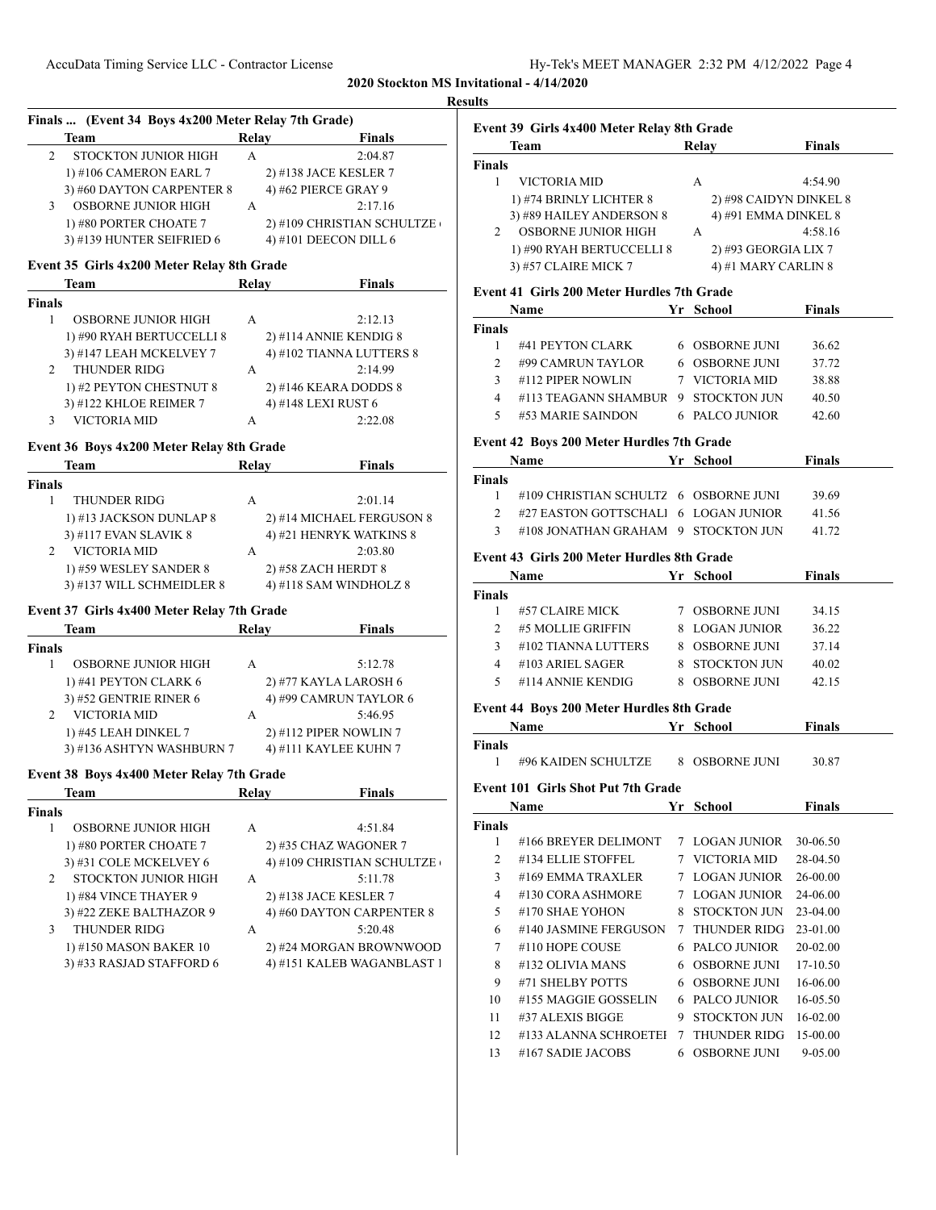| Team<br>STOCKTON JUNIOR HIGH<br>1) #106 CAMERON EARL 7<br>3) #60 DAYTON CARPENTER 8<br>OSBORNE JUNIOR HIGH<br>1) #80 PORTER CHOATE 7 | Relay<br>A                                                                                                                   | <b>Finals</b><br>2:04.87<br>2) #138 JACE KESLER 7 |
|--------------------------------------------------------------------------------------------------------------------------------------|------------------------------------------------------------------------------------------------------------------------------|---------------------------------------------------|
|                                                                                                                                      |                                                                                                                              |                                                   |
|                                                                                                                                      |                                                                                                                              |                                                   |
|                                                                                                                                      |                                                                                                                              |                                                   |
|                                                                                                                                      |                                                                                                                              | 4) #62 PIERCE GRAY 9                              |
|                                                                                                                                      | A                                                                                                                            | 2:17.16                                           |
|                                                                                                                                      |                                                                                                                              | 2) #109 CHRISTIAN SCHULTZE                        |
| 3) #139 HUNTER SEIFRIED 6                                                                                                            |                                                                                                                              | 4) #101 DEECON DILL 6                             |
|                                                                                                                                      |                                                                                                                              |                                                   |
| Event 35 Girls 4x200 Meter Relay 8th Grade<br>Team                                                                                   | Relav                                                                                                                        | <b>Finals</b>                                     |
|                                                                                                                                      |                                                                                                                              |                                                   |
| <b>OSBORNE JUNIOR HIGH</b>                                                                                                           | A                                                                                                                            | 2:12.13                                           |
| 1) #90 RYAH BERTUCCELLI 8                                                                                                            |                                                                                                                              | 2) #114 ANNIE KENDIG 8                            |
|                                                                                                                                      |                                                                                                                              |                                                   |
| 3) #147 LEAH MCKELVEY 7                                                                                                              |                                                                                                                              | 4) #102 TIANNA LUTTERS 8                          |
| <b>THUNDER RIDG</b>                                                                                                                  | A                                                                                                                            | 2:14.99                                           |
| 1) #2 PEYTON CHESTNUT 8                                                                                                              |                                                                                                                              | 2) #146 KEARA DODDS 8                             |
| 3) #122 KHLOE REIMER 7                                                                                                               |                                                                                                                              | 4) #148 LEXI RUST 6                               |
| <b>VICTORIA MID</b>                                                                                                                  | А                                                                                                                            | 2:22.08                                           |
| Event 36 Boys 4x200 Meter Relay 8th Grade                                                                                            |                                                                                                                              |                                                   |
| <b>Team</b>                                                                                                                          | Relay                                                                                                                        | <b>Finals</b>                                     |
|                                                                                                                                      |                                                                                                                              |                                                   |
| <b>THUNDER RIDG</b>                                                                                                                  | A                                                                                                                            | 2:01.14                                           |
| 1) #13 JACKSON DUNLAP 8                                                                                                              |                                                                                                                              | 2) #14 MICHAEL FERGUSON 8                         |
| 3) #117 EVAN SLAVIK 8                                                                                                                |                                                                                                                              | 4) #21 HENRYK WATKINS 8                           |
| VICTORIA MID                                                                                                                         | A                                                                                                                            | 2:03.80                                           |
| 1) #59 WESLEY SANDER 8                                                                                                               |                                                                                                                              | 2) #58 ZACH HERDT 8                               |
| 3) #137 WILL SCHMEIDLER 8                                                                                                            |                                                                                                                              | 4) #118 SAM WINDHOLZ 8                            |
|                                                                                                                                      |                                                                                                                              |                                                   |
| Event 37 Girls 4x400 Meter Relay 7th Grade                                                                                           |                                                                                                                              |                                                   |
| Team                                                                                                                                 | Relay                                                                                                                        | <b>Finals</b>                                     |
|                                                                                                                                      |                                                                                                                              |                                                   |
| <b>OSBORNE JUNIOR HIGH</b>                                                                                                           | A                                                                                                                            | 5:12.78                                           |
| 1) #41 PEYTON CLARK 6                                                                                                                |                                                                                                                              | 2) #77 KAYLA LAROSH 6                             |
| 3) #52 GENTRIE RINER 6                                                                                                               |                                                                                                                              | 4) #99 CAMRUN TAYLOR 6                            |
| VICTORIA MID                                                                                                                         | A                                                                                                                            | 5:46.95                                           |
| 1) #45 LEAH DINKEL 7                                                                                                                 |                                                                                                                              | 2) #112 PIPER NOWLIN 7                            |
| 3) #136 ASHTYN WASHBURN 7                                                                                                            |                                                                                                                              | 4) #111 KAYLEE KUHN 7                             |
|                                                                                                                                      |                                                                                                                              |                                                   |
| Event 38 Boys 4x400 Meter Relay 7th Grade<br>Team                                                                                    | Relay                                                                                                                        | <b>Finals</b>                                     |
|                                                                                                                                      |                                                                                                                              |                                                   |
| OSBORNE JUNIOR HIGH                                                                                                                  | A                                                                                                                            | 4:51.84                                           |
|                                                                                                                                      |                                                                                                                              | 2) #35 CHAZ WAGONER 7                             |
|                                                                                                                                      |                                                                                                                              | 4) #109 CHRISTIAN SCHULTZE                        |
|                                                                                                                                      |                                                                                                                              |                                                   |
|                                                                                                                                      |                                                                                                                              | 5:11.78                                           |
|                                                                                                                                      |                                                                                                                              | 2) #138 JACE KESLER 7                             |
|                                                                                                                                      |                                                                                                                              | 4) #60 DAYTON CARPENTER 8                         |
|                                                                                                                                      | A                                                                                                                            | 5:20.48                                           |
| <b>THUNDER RIDG</b>                                                                                                                  |                                                                                                                              | 2) #24 MORGAN BROWNWOOD                           |
| 1) #150 MASON BAKER 10                                                                                                               |                                                                                                                              | 4) #151 KALEB WAGANBLAST 1                        |
|                                                                                                                                      | 1) #80 PORTER CHOATE 7<br>3) #31 COLE MCKELVEY 6<br>STOCKTON JUNIOR HIGH<br>1) #84 VINCE THAYER 9<br>3) #22 ZEKE BALTHAZOR 9 | А<br>3) #33 RASJAD STAFFORD 6                     |

|                | Event 39 Girls 4x400 Meter Relay 8th Grade        |    |                        |               |
|----------------|---------------------------------------------------|----|------------------------|---------------|
|                | <b>Team</b>                                       |    | Relay                  | <b>Finals</b> |
| Finals         |                                                   |    |                        |               |
| 1              | VICTORIA MID                                      |    | A                      | 4:54.90       |
|                | 1) #74 BRINLY LICHTER 8                           |    | 2) #98 CAIDYN DINKEL 8 |               |
|                | 3) #89 HAILEY ANDERSON 8                          |    | 4) #91 EMMA DINKEL 8   |               |
| 2              | OSBORNE JUNIOR HIGH                               |    | A                      | 4:58.16       |
|                | 1) #90 RYAH BERTUCCELLI 8                         |    | 2) #93 GEORGIA LIX 7   |               |
|                | 3) #57 CLAIRE MICK 7                              |    | 4) #1 MARY CARLIN 8    |               |
|                | <b>Event 41 Girls 200 Meter Hurdles 7th Grade</b> |    |                        |               |
|                | Name<br><b>School</b> School                      |    |                        | Finals        |
| Finals         |                                                   |    |                        |               |
| 1              | #41 PEYTON CLARK                                  |    | 6 OSBORNE JUNI         | 36.62         |
|                | 2 #99 CAMRUN TAYLOR 6 OSBORNE JUNI                |    |                        | 37.72         |
|                | 3 #112 PIPER NOWLIN                               |    | 7 VICTORIA MID         | 38.88         |
|                | 4 #113 TEAGANN SHAMBUR   9 STOCKTON JUN           |    |                        | 40.50         |
|                | 5 #53 MARIE SAINDON 6 PALCO JUNIOR                |    |                        | 42.60         |
|                |                                                   |    |                        |               |
|                | <b>Event 42 Boys 200 Meter Hurdles 7th Grade</b>  |    |                        |               |
|                | Name                                              |    | Yr School              | Finals        |
| Finals         |                                                   |    |                        |               |
|                | 1 #109 CHRISTIAN SCHULTZ 6 OSBORNE JUNI           |    |                        | 39.69         |
|                | 2 #27 EASTON GOTTSCHALl 6 LOGAN JUNIOR            |    |                        | 41.56         |
|                | 3 #108 JONATHAN GRAHAM 9 STOCKTON JUN             |    |                        | 41.72         |
|                | Event 43 Girls 200 Meter Hurdles 8th Grade        |    |                        |               |
|                | Name Yr School                                    |    |                        | Finals        |
| Finals         |                                                   |    |                        |               |
|                | 1 #57 CLAIRE MICK 7 OSBORNE JUNI                  |    |                        | 34.15         |
|                | 2 #5 MOLLIE GRIFFIN 8 LOGAN JUNIOR                |    |                        | 36.22         |
|                | 3 #102 TIANNA LUTTERS 8 OSBORNE JUNI              |    |                        | 37.14         |
|                | 4 #103 ARIEL SAGER                                |    | 8 STOCKTON JUN         | 40.02         |
| 5              | #114 ANNIE KENDIG                                 |    | 8 OSBORNE JUNI         | 42.15         |
|                |                                                   |    |                        |               |
|                | Event 44 Boys 200 Meter Hurdles 8th Grade         |    |                        |               |
|                | Name Yr School                                    |    |                        | Finals        |
| Finals         |                                                   |    |                        |               |
| 1              | #96 KAIDEN SCHULTZE 8 OSBORNE JUNI                |    |                        | 30.87         |
|                | Event 101 Girls Shot Put 7th Grade                |    |                        |               |
|                | <b>Name</b>                                       | Yr | School                 | <b>Finals</b> |
| Finals         |                                                   |    |                        |               |
| 1              | #166 BREYER DELIMONT                              | 7  | <b>LOGAN JUNIOR</b>    | 30-06.50      |
| $\overline{c}$ | #134 ELLIE STOFFEL                                | 7  | VICTORIA MID           | 28-04.50      |
| 3              | #169 EMMA TRAXLER                                 | 7  | <b>LOGAN JUNIOR</b>    | 26-00.00      |
|                |                                                   |    |                        |               |
| 4              | #130 CORA ASHMORE                                 | 7  | <b>LOGAN JUNIOR</b>    | 24-06.00      |
| 5              | #170 SHAE YOHON                                   | 8  | STOCKTON JUN           | 23-04.00      |
| 6              | #140 JASMINE FERGUSON                             | 7  | THUNDER RIDG           | 23-01.00      |
| 7              | #110 HOPE COUSE                                   | 6  | PALCO JUNIOR           | 20-02.00      |
| 8              | #132 OLIVIA MANS                                  | 6  | <b>OSBORNE JUNI</b>    | 17-10.50      |
| 9              | #71 SHELBY POTTS                                  | 6  | <b>OSBORNE JUNI</b>    | 16-06.00      |
| 10             | #155 MAGGIE GOSSELIN                              | 6  | PALCO JUNIOR           | 16-05.50      |
| 11             | #37 ALEXIS BIGGE                                  | 9  | <b>STOCKTON JUN</b>    | 16-02.00      |

12 #133 ALANNA SCHROETEI 7 THUNDER RIDG 15-00.00 13 #167 SADIE JACOBS 6 OSBORNE JUNI 9-05.00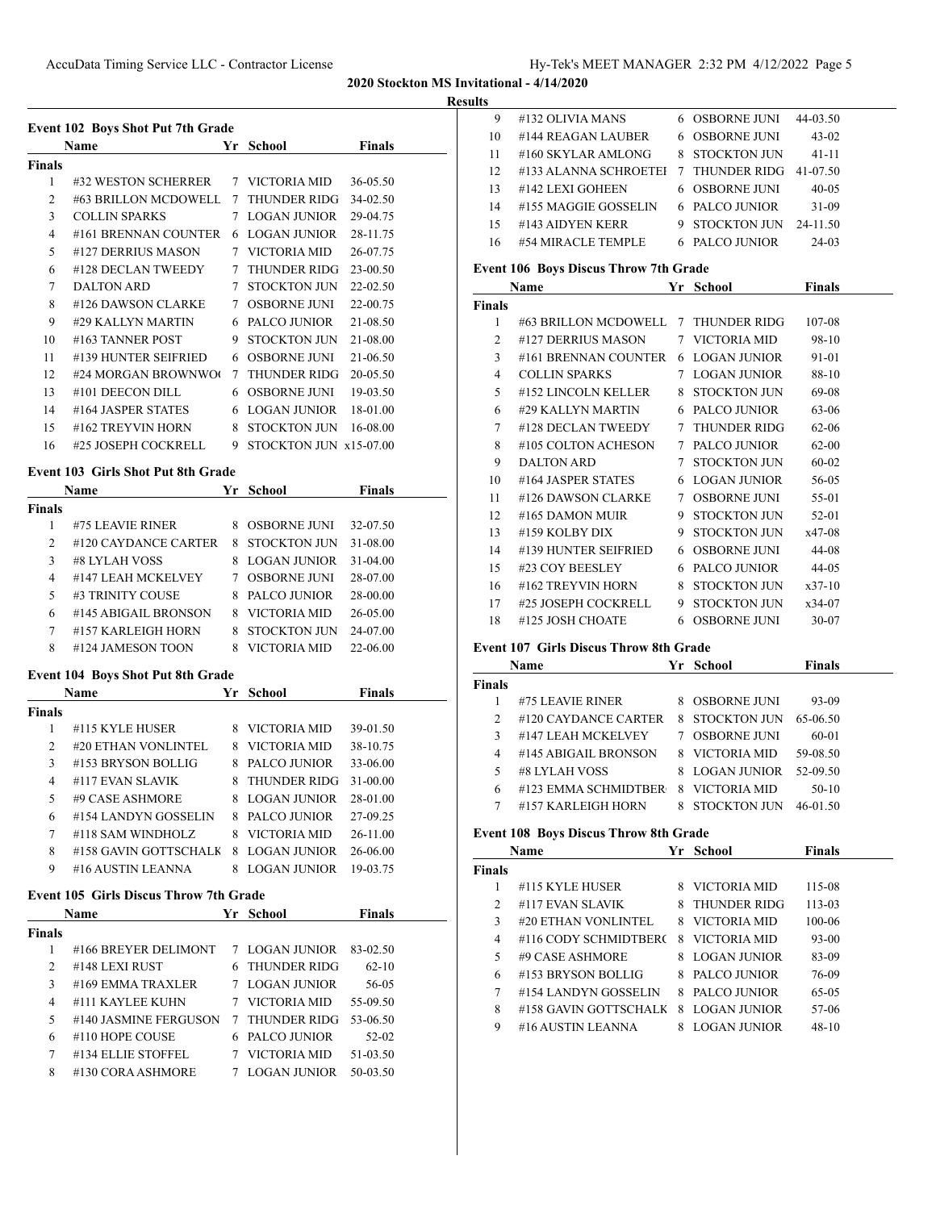**<u>esults</u>** 

|        |                                               |    |                          | AUAU DIUCKIUH ITID . | R |
|--------|-----------------------------------------------|----|--------------------------|----------------------|---|
|        | <b>Event 102 Boys Shot Put 7th Grade</b>      |    |                          |                      |   |
|        | Name                                          |    | Yr School                | Finals               |   |
| Finals |                                               |    |                          |                      |   |
| 1      | #32 WESTON SCHERRER                           |    | 7 VICTORIA MID           | 36-05.50             |   |
| 2      | #63 BRILLON MCDOWELL                          |    | 7 THUNDER RIDG           | 34-02.50             |   |
| 3      | <b>COLLIN SPARKS</b>                          |    | 7 LOGAN JUNIOR           | 29-04.75             |   |
| 4      | #161 BRENNAN COUNTER                          |    | 6 LOGAN JUNIOR           | 28-11.75             |   |
| 5      | #127 DERRIUS MASON                            |    | 7 VICTORIA MID           | 26-07.75             |   |
| 6      | #128 DECLAN TWEEDY                            |    | 7 THUNDER RIDG           | 23-00.50             |   |
| 7      | <b>DALTON ARD</b>                             |    | 7 STOCKTON JUN           | 22-02.50             |   |
| 8      | #126 DAWSON CLARKE                            |    | 7 OSBORNE JUNI           | 22-00.75             |   |
| 9      | #29 KALLYN MARTIN                             |    | 6 PALCO JUNIOR           | 21-08.50             |   |
| 10     | #163 TANNER POST                              |    | 9 STOCKTON JUN           | 21-08.00             |   |
| 11     | #139 HUNTER SEIFRIED                          |    | 6 OSBORNE JUNI           | 21-06.50             |   |
| 12     | #24 MORGAN BROWNWO                            |    | 7 THUNDER RIDG           | 20-05.50             |   |
| 13     | #101 DEECON DILL                              |    | 6 OSBORNE JUNI           | 19-03.50             |   |
| 14     | #164 JASPER STATES                            |    | 6 LOGAN JUNIOR           | 18-01.00             |   |
| 15     | #162 TREYVIN HORN                             |    | 8 STOCKTON JUN           | 16-08.00             |   |
| 16     | #25 JOSEPH COCKRELL                           |    | 9 STOCKTON JUN x15-07.00 |                      |   |
|        |                                               |    |                          |                      |   |
|        | <b>Event 103 Girls Shot Put 8th Grade</b>     |    |                          |                      |   |
|        | Name                                          | Yr | School                   | <b>Finals</b>        |   |
| Finals |                                               |    |                          |                      |   |
| 1      | #75 LEAVIE RINER                              |    | 8 OSBORNE JUNI           | 32-07.50             |   |
| 2      | #120 CAYDANCE CARTER                          |    | 8 STOCKTON JUN           | 31-08.00             |   |
| 3      | #8 LYLAH VOSS                                 |    | 8 LOGAN JUNIOR           | 31-04.00             |   |
| 4      | #147 LEAH MCKELVEY                            |    | 7 OSBORNE JUNI           | 28-07.00             |   |
| 5      | #3 TRINITY COUSE                              |    | 8 PALCO JUNIOR           | 28-00.00             |   |
| 6      | #145 ABIGAIL BRONSON                          |    | 8 VICTORIA MID           | 26-05.00             |   |
| 7      | #157 KARLEIGH HORN                            |    | 8 STOCKTON JUN           | 24-07.00             |   |
| 8      | #124 JAMESON TOON                             |    | 8 VICTORIA MID           | 22-06.00             |   |
|        | <b>Event 104 Boys Shot Put 8th Grade</b>      |    |                          |                      |   |
|        | <b>Name</b>                                   |    | Yr School                | <b>Finals</b>        |   |
| Finals |                                               |    |                          |                      |   |
| 1      | #115 KYLE HUSER                               |    | 8 VICTORIA MID           | 39-01.50             |   |
| 2      | #20 ETHAN VONLINTEL                           |    | 8 VICTORIA MID           | 38-10.75             |   |
| 3      | #153 BRYSON BOLLIG                            | 8  | PALCO JUNIOR             | 33-06.00             |   |
| 4      | #117 EVAN SLAVIK                              | 8  | THUNDER RIDG             | 31-00.00             |   |
| 5      | #9 CASE ASHMORE                               | 8  | <b>LOGAN JUNIOR</b>      | 28-01.00             |   |
| 6      | #154 LANDYN GOSSELIN                          |    | 8 PALCO JUNIOR           | 27-09.25             |   |
| 7      | #118 SAM WINDHOLZ                             |    | 8 VICTORIA MID           | 26-11.00             |   |
| 8      | #158 GAVIN GOTTSCHALK                         | 8  | <b>LOGAN JUNIOR</b>      | 26-06.00             |   |
| 9      | #16 AUSTIN LEANNA                             | 8  | LOGAN JUNIOR             | 19-03.75             |   |
|        | <b>Event 105 Girls Discus Throw 7th Grade</b> |    |                          |                      |   |
|        | Name                                          |    | Yr School                | <b>Finals</b>        |   |
| Finals |                                               |    |                          |                      |   |
| 1      | #166 BREYER DELIMONT                          |    | 7 LOGAN JUNIOR           | 83-02.50             |   |
| 2      | #148 LEXI RUST                                |    | 6 THUNDER RIDG           | $62 - 10$            |   |
| 3      | #169 EMMA TRAXLER                             |    | 7 LOGAN JUNIOR           | 56-05                |   |
| 4      | #111 KAYLEE KUHN                              |    | 7 VICTORIA MID           | 55-09.50             |   |
| 5      | #140 JASMINE FERGUSON                         |    | 7 THUNDER RIDG           | 53-06.50             |   |
| 6      | #110 HOPE COUSE                               |    | 6 PALCO JUNIOR           | 52-02                |   |
| 7      | #134 ELLIE STOFFEL                            |    | 7 VICTORIA MID           | 51-03.50             |   |
| 8      | #130 CORA ASHMORE                             |    | 7 LOGAN JUNIOR           | 50-03.50             |   |

| 9                                             | #132 OLIVIA MANS                      |             | 6 OSBORNE JUNI          | 44-03.50      |  |
|-----------------------------------------------|---------------------------------------|-------------|-------------------------|---------------|--|
| 10                                            | #144 REAGAN LAUBER                    |             | 6 OSBORNE JUNI          | $43 - 02$     |  |
| 11                                            | #160 SKYLAR AMLONG                    | 8           | STOCKTON JUN            | $41 - 11$     |  |
| 12                                            | #133 ALANNA SCHROETEI                 | $7^{\circ}$ | <b>THUNDER RIDG</b>     | 41-07.50      |  |
| 13                                            | #142 LEXI GOHEEN                      |             | 6 OSBORNE JUNI          | $40 - 05$     |  |
| 14                                            | #155 MAGGIE GOSSELIN                  |             | 6 PALCO JUNIOR          | $31-09$       |  |
| 15                                            | #143 AIDYEN KERR                      |             | 9 STOCKTON JUN 24-11.50 |               |  |
| 16                                            | #54 MIRACLE TEMPLE                    |             | 6 PALCO JUNIOR          | $24-03$       |  |
|                                               | Event 106 Boys Discus Throw 7th Grade |             |                         |               |  |
|                                               | <b>Name</b>                           |             | Yr School               | <b>Finals</b> |  |
| <b>Finals</b>                                 |                                       |             |                         |               |  |
| $\mathbf{1}$                                  | #63 BRILLON MCDOWELL 7 THUNDER RIDG   |             |                         | 107-08        |  |
| $\overline{c}$                                | #127 DERRIUS MASON                    |             | 7 VICTORIA MID          | 98-10         |  |
| 3                                             | #161 BRENNAN COUNTER                  |             | 6 LOGAN JUNIOR          | 91-01         |  |
| $\overline{4}$                                | <b>COLLIN SPARKS</b>                  |             | 7 LOGAN JUNIOR          | 88-10         |  |
| 5                                             | #152 LINCOLN KELLER                   |             | 8 STOCKTON JUN          | 69-08         |  |
| 6                                             | #29 KALLYN MARTIN                     |             | 6 PALCO JUNIOR          | 63-06         |  |
| 7                                             | #128 DECLAN TWEEDY                    |             | 7 THUNDER RIDG          | $62 - 06$     |  |
| 8                                             | #105 COLTON ACHESON                   |             | 7 PALCO JUNIOR          | $62 - 00$     |  |
| 9                                             | <b>DALTON ARD</b>                     | 7           | STOCKTON JUN            | $60 - 02$     |  |
| 10                                            | #164 JASPER STATES                    |             | 6 LOGAN JUNIOR          | 56-05         |  |
| 11                                            | #126 DAWSON CLARKE                    |             | 7 OSBORNE JUNI          | 55-01         |  |
| 12                                            | #165 DAMON MUIR                       |             | 9 STOCKTON JUN          | 52-01         |  |
| 13                                            | #159 KOLBY DIX                        |             | 9 STOCKTON JUN          | x47-08        |  |
| 14                                            | #139 HUNTER SEIFRIED                  | 6           | <b>OSBORNE JUNI</b>     | 44-08         |  |
| 15                                            | #23 COY BEESLEY                       |             | 6 PALCO JUNIOR          | $44 - 05$     |  |
| 16                                            | #162 TREYVIN HORN                     |             | 8 STOCKTON JUN          | $x37-10$      |  |
| 17                                            | #25 JOSEPH COCKRELL                   |             | 9 STOCKTON JUN          | x34-07        |  |
| 18                                            | #125 JOSH CHOATE                      |             | 6 OSBORNE JUNI          | 30-07         |  |
| <b>Event 107 Girls Discus Throw 8th Grade</b> |                                       |             |                         |               |  |

#### **Event 107 Girls Discus Throw 8th Grade**

|                      |      |                      | <b>Finals</b>                                                    |  |
|----------------------|------|----------------------|------------------------------------------------------------------|--|
|                      |      |                      |                                                                  |  |
| #75 LEAVIE RINER     | 8    | OSBORNE JUNI         | 93-09                                                            |  |
| #120 CAYDANCE CARTER | 8    |                      | 65-06.50                                                         |  |
| #147 LEAH MCKELVEY   | 7    |                      | 60-01                                                            |  |
| #145 ABIGAIL BRONSON | 8.   |                      | 59-08.50                                                         |  |
| #8 LYLAH VOSS        | 8    | LOGAN JUNIOR         | 52-09.50                                                         |  |
|                      | 8    | VICTORIA MID         | $50-10$                                                          |  |
| #157 KARLEIGH HORN   | x    | STOCKTON JUN         | 46-01.50                                                         |  |
|                      | Name | #123 EMMA SCHMIDTBER | Yr School<br>STOCKTON JUN<br><b>OSBORNE JUNI</b><br>VICTORIA MID |  |

# **Event 108 Boys Discus Throw 8th Grade**<br>Name Vr. Sch

|               | Name                  | Yr | School              | <b>Finals</b> |  |
|---------------|-----------------------|----|---------------------|---------------|--|
| <b>Finals</b> |                       |    |                     |               |  |
| 1             | #115 KYLE HUSER       | 8  | VICTORIA MID        | 115-08        |  |
| 2             | #117 EVAN SLAVIK      | 8. | <b>THUNDER RIDG</b> | 113-03        |  |
| 3             | #20 ETHAN VONLINTEL   | 8. | VICTORIA MID        | 100-06        |  |
| 4             | #116 CODY SCHMIDTBERC | 8  | VICTORIA MID        | 93-00         |  |
| 5             | #9 CASE ASHMORE       | 8. | LOGAN JUNIOR        | 83-09         |  |
| 6             | #153 BRYSON BOLLIG    | 8  | PALCO JUNIOR        | 76-09         |  |
| 7             | #154 LANDYN GOSSELIN  | 8  | PALCO JUNIOR        | $65-05$       |  |
| 8             | #158 GAVIN GOTTSCHALK | 8  | <b>LOGAN JUNIOR</b> | 57-06         |  |
| 9             | #16 AUSTIN LEANNA     | 8  | <b>LOGAN JUNIOR</b> | $48-10$       |  |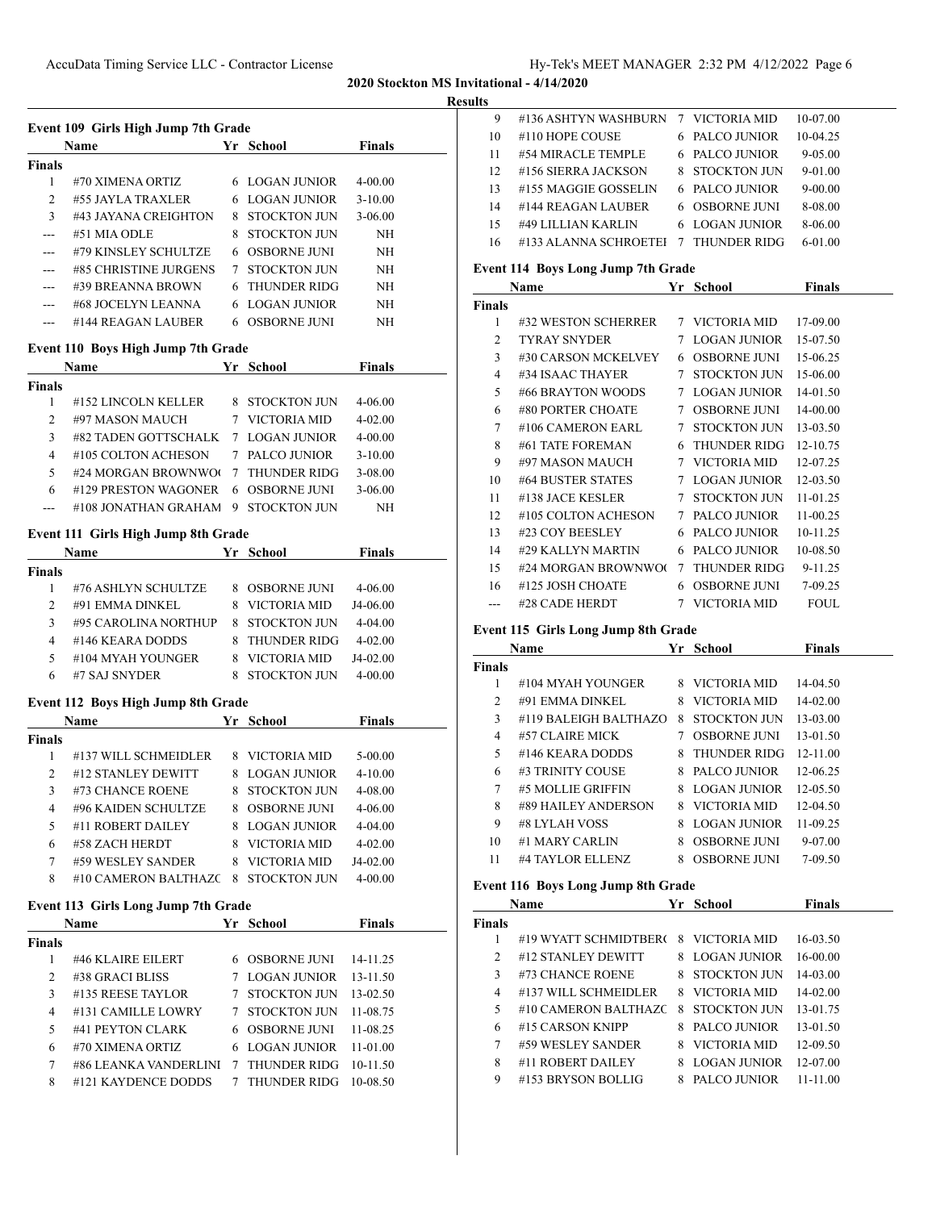#### **Results**

| Event 109 Girls High Jump 7th Grade |                       |    |                     |               |  |
|-------------------------------------|-----------------------|----|---------------------|---------------|--|
|                                     | Name                  | Yr | School              | <b>Finals</b> |  |
| <b>Finals</b>                       |                       |    |                     |               |  |
| 1                                   | #70 XIMENA ORTIZ      | 6  | LOGAN JUNIOR        | 4-00.00       |  |
| $\mathcal{L}$                       | #55 JAYLA TRAXLER     | 6  | LOGAN JUNIOR        | $3 - 10.00$   |  |
| $\mathbf{3}$                        | #43 JAYANA CREIGHTON  | 8  | STOCKTON JUN        | $3 - 06.00$   |  |
|                                     | #51 MIA ODLE          | 8  | STOCKTON II IN      | <b>NH</b>     |  |
|                                     | #79 KINSLEY SCHULTZE  | 6  | <b>OSBORNE IUNI</b> | NH            |  |
| ---                                 | #85 CHRISTINE JURGENS | 7  | STOCKTON JUN        | NH            |  |
|                                     | #39 BREANNA BROWN     | 6. | <b>THUNDER RIDG</b> | <b>NH</b>     |  |
| ---                                 | #68 JOCELYN LEANNA    | 6. | LOGAN JUNIOR        | NH            |  |
|                                     | #144 REAGAN LAUBER    |    | <b>OSBORNE IUNI</b> | NH            |  |

# **Event 110 Boys High Jump 7th Grade**

|                | Name                 |                 | Yr School           | <b>Finals</b> |  |
|----------------|----------------------|-----------------|---------------------|---------------|--|
| Finals         |                      |                 |                     |               |  |
|                | #152 LINCOLN KELLER  | 8               | STOCKTON JUN        | $4 - 06.00$   |  |
| $\mathfrak{D}$ | #97 MASON MAUCH      |                 | VICTORIA MID        | $4 - 02.00$   |  |
| 3              | #82 TADEN GOTTSCHALK |                 | 7 LOGAN JUNIOR      | $4 - 00.00$   |  |
| 4              | #105 COLTON ACHESON  | 7               | PALCO JUNIOR        | $3 - 10.00$   |  |
| 5              | #24 MORGAN BROWNWO   | $7\phantom{.0}$ | <b>THUNDER RIDG</b> | $3 - 08.00$   |  |
| 6              | #129 PRESTON WAGONER | 6               | OSBORNE JUNI        | $3 - 06.00$   |  |
|                | #108 JONATHAN GRAHAM | 9               | STOCKTON JUN        | NΗ            |  |

# **Event 111 Girls High Jump 8th Grade**

|        | <b>Name</b>          |   | Yr School           | <b>Finals</b> |  |
|--------|----------------------|---|---------------------|---------------|--|
| Finals |                      |   |                     |               |  |
|        | #76 ASHLYN SCHULTZE  | 8 | <b>OSBORNE JUNI</b> | 4-06.00       |  |
| 2      | #91 EMMA DINKEL      |   | VICTORIA MID        | J4-06.00      |  |
| 3      | #95 CAROLINA NORTHUP |   | <b>STOCKTON JUN</b> | $4 - 04.00$   |  |
| 4      | #146 KEARA DODDS     |   | THUNDER RIDG        | $4 - 02.00$   |  |
| 5      | #104 MYAH YOUNGER    |   | VICTORIA MID        | $J4-02.00$    |  |
| 6      | #7 SAJ SNYDER        |   | STOCKTON JUN        | 4-00.00       |  |

# **Event 112 Boys High Jump 8th Grade**

|        | Name                 |   | Yr School           | <b>Finals</b> |  |
|--------|----------------------|---|---------------------|---------------|--|
| Finals |                      |   |                     |               |  |
| 1      | #137 WILL SCHMEIDLER | 8 | VICTORIA MID        | $5 - 00.00$   |  |
| 2      | #12 STANLEY DEWITT   | 8 | LOGAN JUNIOR        | $4 - 10.00$   |  |
| 3      | #73 CHANCE ROENE     | 8 | <b>STOCKTON JUN</b> | 4-08.00       |  |
| 4      | #96 KAIDEN SCHULTZE  | 8 | <b>OSBORNE JUNI</b> | $4 - 06.00$   |  |
| 5      | #11 ROBERT DAILEY    | 8 | LOGAN JUNIOR        | $4 - 04.00$   |  |
| 6      | #58 ZACH HERDT       | 8 | VICTORIA MID        | $4 - 02.00$   |  |
| 7      | #59 WESLEY SANDER    | 8 | VICTORIA MID        | J4-02.00      |  |
| 8      | #10 CAMERON BALTHAZC | 8 | STOCKTON JUN        | $4 - 00.00$   |  |

# **Event 113 Girls Long Jump 7th Grade**

|        | Name                  | Yr              | School                | <b>Finals</b> |  |
|--------|-----------------------|-----------------|-----------------------|---------------|--|
| Finals |                       |                 |                       |               |  |
|        | #46 KLAIRE EILERT     |                 | 6 OSBORNE JUNI        | 14-11.25      |  |
| 2      | #38 GRACI BLISS       |                 | LOGAN JUNIOR          | $13 - 11.50$  |  |
| 3      | #135 REESE TAYLOR     |                 | STOCKTON JUN          | $13 - 02.50$  |  |
| 4      | #131 CAMILLE LOWRY    | 7               | STOCKTON JUN          | 11-08.75      |  |
| 5      | #41 PEYTON CLARK      |                 | 6 OSBORNE JUNI        | 11-08.25      |  |
| 6      | #70 XIMENA ORTIZ      |                 | <b>6 LOGAN JUNIOR</b> | $11 - 01.00$  |  |
| 7      | #86 LEANKA VANDERLINI | $7\phantom{.0}$ | THUNDER RIDG          | 10-11.50      |  |
| 8      | #121 KAYDENCE DODDS   |                 | <b>THUNDER RIDG</b>   | 10-08.50      |  |

| 9  | #136 ASHTYN WASHBURN    | 7 VICTORIA MID        | 10-07.00    |  |
|----|-------------------------|-----------------------|-------------|--|
| 10 | #110 HOPE COUSE         | 6 PALCO JUNIOR        | 10-04.25    |  |
| 11 | #54 MIRACLE TEMPLE      | 6 PALCO JUNIOR        | $9 - 05.00$ |  |
| 12 | #156 SIERRA JACKSON     | 8 STOCKTON JUN        | $9-01.00$   |  |
| 13 | #155 MAGGIE GOSSELIN    | 6 PALCO JUNIOR        | $9 - 00.00$ |  |
| 14 | #144 REAGAN LAUBER      | <b>6 OSBORNE JUNI</b> | 8-08.00     |  |
| 15 | #49 LILLIAN KARLIN      | 6 LOGAN JUNIOR        | 8-06.00     |  |
| 16 | #133 ALANNA SCHROETEI 7 | <b>THUNDER RIDG</b>   | $6-01.00$   |  |
|    |                         |                       |             |  |

# **Event 114 Boys Long Jump 7th Grade**

|               | Name                | Yr | <b>School</b>       | Finals       |
|---------------|---------------------|----|---------------------|--------------|
| <b>Finals</b> |                     |    |                     |              |
| 1             | #32 WESTON SCHERRER |    | 7 VICTORIA MID      | 17-09.00     |
| 2             | <b>TYRAY SNYDER</b> | 7  | <b>LOGAN JUNIOR</b> | 15-07.50     |
| 3             | #30 CARSON MCKELVEY | 6  | OSBORNE JUNI        | 15-06.25     |
| 4             | #34 ISAAC THAYER    | 7  | STOCKTON JUN        | 15-06.00     |
| 5             | #66 BRAYTON WOODS   | 7  | <b>LOGAN JUNIOR</b> | 14-01.50     |
| 6             | #80 PORTER CHOATE   | 7  | <b>OSBORNE JUNI</b> | 14-00.00     |
| 7             | #106 CAMERON EARL   | 7  | STOCKTON JUN        | 13-03.50     |
| 8             | #61 TATE FOREMAN    | 6  | <b>THUNDER RIDG</b> | 12-10.75     |
| 9             | #97 MASON MAUCH     | 7  | VICTORIA MID        | 12-07.25     |
| 10            | #64 BUSTER STATES   | 7  | <b>LOGAN JUNIOR</b> | $12 - 03.50$ |
| 11            | #138 JACE KESLER    | 7  | STOCKTON JUN        | 11-01.25     |
| 12            | #105 COLTON ACHESON | 7  | PALCO JUNIOR        | 11-00.25     |
| 13            | #23 COY BEESLEY     | 6  | PALCO JUNIOR        | 10-11.25     |
| 14            | #29 KALLYN MARTIN   | 6  | PALCO JUNIOR        | 10-08.50     |
| 15            | #24 MORGAN BROWNWO  | 7  | <b>THUNDER RIDG</b> | 9-11.25      |
| 16            | #125 JOSH CHOATE    | 6  | OSBORNE JUNI        | 7-09.25      |
| ---           | #28 CADE HERDT      | 7  | VICTORIA MID        | <b>FOUL</b>  |

# **Event 115 Girls Long Jump 8th Grade**

|        | Name                  | Yr | School              | <b>Finals</b> |
|--------|-----------------------|----|---------------------|---------------|
| Finals |                       |    |                     |               |
| 1      | #104 MYAH YOUNGER     | 8. | VICTORIA MID        | 14-04.50      |
| 2      | #91 EMMA DINKEL       | 8. | VICTORIA MID        | $14 - 02.00$  |
| 3      | #119 BALEIGH BALTHAZO | 8  | <b>STOCKTON JUN</b> | 13-03.00      |
| 4      | #57 CLAIRE MICK       |    | <b>OSBORNE JUNI</b> | $13-01.50$    |
| 5      | #146 KEARA DODDS      | 8  | <b>THUNDER RIDG</b> | $12 - 11.00$  |
| 6      | #3 TRINITY COUSE      | 8  | PALCO JUNIOR        | 12-06.25      |
| 7      | #5 MOLLIE GRIFFIN     |    | 8 LOGAN JUNIOR      | $12 - 05.50$  |
| 8      | #89 HAILEY ANDERSON   |    | 8 VICTORIA MID      | $12-04.50$    |
| 9      | #8 LYLAH VOSS         | 8  | LOGAN JUNIOR        | 11-09.25      |
| 10     | #1 MARY CARLIN        | 8  | <b>OSBORNE JUNI</b> | $9-07.00$     |
| 11     | #4 TAYLOR ELLENZ      | 8  | <b>OSBORNE JUNI</b> | 7-09.50       |

#### **Event 116 Boys Long Jump 8th Grade**

|               | Name                  | Yr | School         | <b>Finals</b> |  |
|---------------|-----------------------|----|----------------|---------------|--|
| <b>Finals</b> |                       |    |                |               |  |
|               | #19 WYATT SCHMIDTBERG |    | 8 VICTORIA MID | 16-03.50      |  |
| 2             | #12 STANLEY DEWITT    |    | 8 LOGAN JUNIOR | $16 - 00.00$  |  |
| 3             | #73 CHANCE ROENE      | 8  | STOCKTON JUN   | $14 - 03.00$  |  |
| 4             | #137 WILL SCHMEIDLER  | 8. | VICTORIA MID   | $14 - 02.00$  |  |
| 5             | #10 CAMERON BALTHAZC  | 8  | STOCKTON JUN   | 13-01.75      |  |
| 6             | #15 CARSON KNIPP      | 8. | PALCO JUNIOR   | $13-01.50$    |  |
| 7             | #59 WESLEY SANDER     | 8. | VICTORIA MID   | 12-09.50      |  |
| 8             | #11 ROBERT DAILEY     | 8. | LOGAN JUNIOR   | $12 - 07.00$  |  |
| 9             | #153 BRYSON BOLLIG    | 8  | PALCO JUNIOR   | 11-11.00      |  |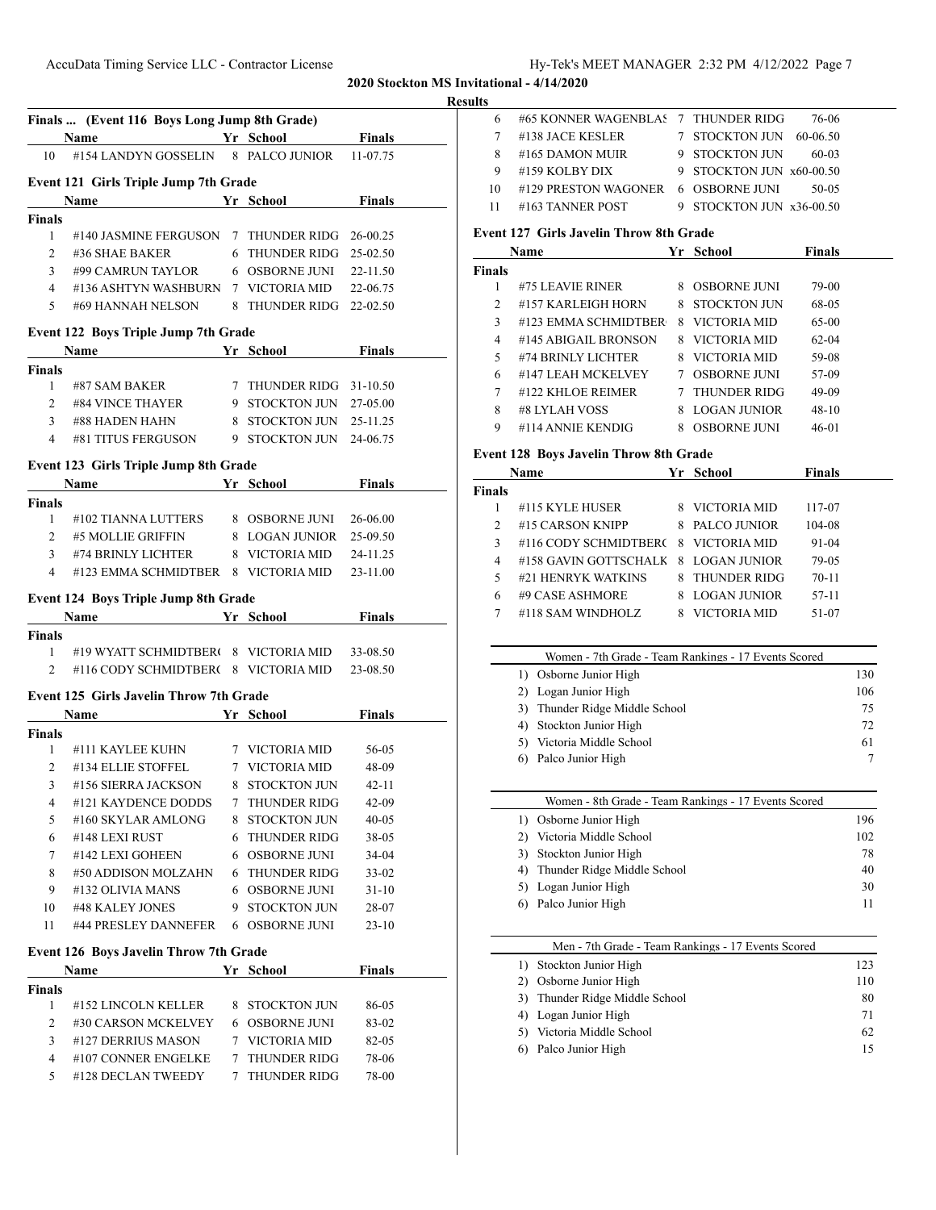|  | Hy-Tek's MEET MANAGER 2:32 PM 4/12/2022 Page 7 |  |  |
|--|------------------------------------------------|--|--|
|  |                                                |  |  |

# **Results**

|                               | Finals  (Event 116 Boys Long Jump 8th Grade)<br><u>Vernote School</u><br>Name                                                                                                                                                 |                                  | <b>Finals</b> |
|-------------------------------|-------------------------------------------------------------------------------------------------------------------------------------------------------------------------------------------------------------------------------|----------------------------------|---------------|
| 10                            | #154 LANDYN GOSSELIN                                                                                                                                                                                                          | 8 PALCO JUNIOR                   | 11-07.75      |
|                               |                                                                                                                                                                                                                               |                                  |               |
|                               | Event 121 Girls Triple Jump 7th Grade                                                                                                                                                                                         |                                  |               |
|                               | <b>Name</b>                                                                                                                                                                                                                   | Yr_School_____                   | <b>Finals</b> |
| Finals                        |                                                                                                                                                                                                                               |                                  |               |
| 1                             | #140 JASMINE FERGUSON                                                                                                                                                                                                         | 7 THUNDER RIDG 26-00.25          |               |
| $\overline{2}$                | #36 SHAE BAKER                                                                                                                                                                                                                | 6 THUNDER RIDG 25-02.50          |               |
| 3                             | #99 CAMRUN TAYLOR                                                                                                                                                                                                             | 6 OSBORNE JUNI                   | 22-11.50      |
| $\overline{4}$                | #136 ASHTYN WASHBURN                                                                                                                                                                                                          | 7 VICTORIA MID                   | 22-06.75      |
| 5                             | #69 HANNAH NELSON                                                                                                                                                                                                             | 8 THUNDER RIDG                   | 22-02.50      |
|                               | Event 122 Boys Triple Jump 7th Grade                                                                                                                                                                                          |                                  |               |
|                               | Name                                                                                                                                                                                                                          | Yr School                        | <b>Finals</b> |
| <b>Finals</b>                 |                                                                                                                                                                                                                               |                                  |               |
| 1                             | #87 SAM BAKER                                                                                                                                                                                                                 | 7 THUNDER RIDG 31-10.50          |               |
| $\overline{2}$                | #84 VINCE THAYER                                                                                                                                                                                                              | 9 STOCKTON JUN 27-05.00          |               |
| 3                             | #88 HADEN HAHN                                                                                                                                                                                                                | 8 STOCKTON JUN                   | 25-11.25      |
| 4                             | #81 TITUS FERGUSON                                                                                                                                                                                                            | 9 STOCKTON JUN 24-06.75          |               |
|                               | Event 123 Girls Triple Jump 8th Grade                                                                                                                                                                                         |                                  |               |
|                               | Name Yr School                                                                                                                                                                                                                |                                  | Finals        |
|                               |                                                                                                                                                                                                                               |                                  |               |
| <b>Finals</b><br>$\mathbf{1}$ | #102 TIANNA LUTTERS                                                                                                                                                                                                           | 8 OSBORNE JUNI                   | 26-06.00      |
| $\overline{2}$                | #5 MOLLIE GRIFFIN                                                                                                                                                                                                             | 8 LOGAN JUNIOR                   | 25-09.50      |
|                               |                                                                                                                                                                                                                               |                                  |               |
| 3                             | #74 BRINLY LICHTER                                                                                                                                                                                                            | 8 VICTORIA MID                   | 24-11.25      |
| 4                             | #123 EMMA SCHMIDTBER 8 VICTORIA MID                                                                                                                                                                                           |                                  | 23-11.00      |
|                               | Event 124 Boys Triple Jump 8th Grade                                                                                                                                                                                          |                                  |               |
|                               | Name and the same state of the state of the state of the state of the state of the state of the state of the state of the state of the state of the state of the state of the state of the state of the state of the state of | Yr School                        | <b>Finals</b> |
| Finals                        |                                                                                                                                                                                                                               |                                  |               |
| 1                             | #19 WYATT SCHMIDTBER( 8 VICTORIA MID                                                                                                                                                                                          |                                  | 33-08.50      |
| 2                             | #116 CODY SCHMIDTBER( 8 VICTORIA MID                                                                                                                                                                                          |                                  | 23-08.50      |
|                               | <b>Event 125 Girls Javelin Throw 7th Grade</b>                                                                                                                                                                                |                                  |               |
|                               |                                                                                                                                                                                                                               |                                  | <b>Finals</b> |
|                               | Name                                                                                                                                                                                                                          | Yr School                        |               |
| <b>Finals</b><br>1            | #111 KAYLEE KUHN                                                                                                                                                                                                              | 7 VICTORIA MID                   | 56-05         |
| 2                             | #134 ELLIE STOFFEL                                                                                                                                                                                                            | 7 VICTORIA MID                   | 48-09         |
|                               | #156 SIERRA JACKSON                                                                                                                                                                                                           | 8 STOCKTON JUN                   | 42-11         |
| 3                             |                                                                                                                                                                                                                               |                                  |               |
| 4                             | #121 KAYDENCE DODDS                                                                                                                                                                                                           | 7 THUNDER RIDG                   | 42-09         |
| 5                             | #160 SKYLAR AMLONG                                                                                                                                                                                                            | 8 STOCKTON JUN                   | 40-05         |
| 6                             | #148 LEXI RUST                                                                                                                                                                                                                | 6 THUNDER RIDG                   | 38-05         |
|                               | #142 LEXI GOHEEN                                                                                                                                                                                                              | 6 OSBORNE JUNI                   | 34-04         |
| 7                             | #50 ADDISON MOLZAHN                                                                                                                                                                                                           | 6 THUNDER RIDG                   | 33-02         |
| 8                             |                                                                                                                                                                                                                               | 6 OSBORNE JUNI                   | 31-10         |
| 9                             | #132 OLIVIA MANS                                                                                                                                                                                                              |                                  |               |
| 10                            | #48 KALEY JONES                                                                                                                                                                                                               | 9 STOCKTON JUN                   | 28-07         |
| 11                            | #44 PRESLEY DANNEFER                                                                                                                                                                                                          | <b>6 OSBORNE JUNI</b>            | $23-10$       |
|                               |                                                                                                                                                                                                                               |                                  |               |
|                               | Event 126 Boys Javelin Throw 7th Grade                                                                                                                                                                                        |                                  |               |
|                               | Name                                                                                                                                                                                                                          | Yr School                        | <b>Finals</b> |
|                               |                                                                                                                                                                                                                               |                                  |               |
| 1                             | #152 LINCOLN KELLER                                                                                                                                                                                                           | 8 STOCKTON JUN                   | 86-05         |
| $\overline{2}$                | #30 CARSON MCKELVEY                                                                                                                                                                                                           | 6 OSBORNE JUNI                   | 83-02         |
| Finals<br>3                   | #127 DERRIUS MASON                                                                                                                                                                                                            | 7 VICTORIA MID                   | 82-05         |
| 4                             | #107 CONNER ENGELKE<br>#128 DECLAN TWEEDY                                                                                                                                                                                     | 7 THUNDER RIDG<br>7 THUNDER RIDG | 78-06         |

| 6   | #65 KONNER WAGENBLAS 7 THUNDER RIDG |                          | 76-06    |
|-----|-------------------------------------|--------------------------|----------|
|     | #138 JACE KESLER                    | 7 STOCKTON JUN           | 60-06.50 |
| 8   | #165 DAMON MUIR                     | 9 STOCKTON JUN           | $60-03$  |
| 9   | #159 KOLBY DIX                      | 9 STOCKTON JUN x60-00.50 |          |
| -10 | #129 PRESTON WAGONER 6 OSBORNE JUNI |                          | $50-0.5$ |
| -11 | #163 TANNER POST                    | 9 STOCKTON JUN x36-00.50 |          |

#### **Event 127 Girls Javelin Throw 8th Grade**

|               | Name                 | Yr | School              | <b>Finals</b> |  |
|---------------|----------------------|----|---------------------|---------------|--|
| <b>Finals</b> |                      |    |                     |               |  |
| 1             | #75 LEAVIE RINER     | 8. | <b>OSBORNE JUNI</b> | 79-00         |  |
| 2             | #157 KARLEIGH HORN   | 8  | STOCKTON JUN        | 68-05         |  |
| 3             | #123 EMMA SCHMIDTBER | 8. | VICTORIA MID        | 65-00         |  |
| 4             | #145 ABIGAIL BRONSON | 8. | VICTORIA MID        | $62 - 04$     |  |
| 5             | #74 BRINLY LICHTER   | 8. | VICTORIA MID        | 59-08         |  |
| 6             | #147 LEAH MCKELVEY   | 7  | <b>OSBORNE JUNI</b> | 57-09         |  |
| 7             | #122 KHLOE REIMER    | 7  | <b>THUNDER RIDG</b> | 49-09         |  |
| 8             | #8 LYLAH VOSS        | 8  | LOGAN JUNIOR        | $48-10$       |  |
| 9             | #114 ANNIE KENDIG    | 8  | <b>OSBORNE JUNI</b> | 46-01         |  |
|               |                      |    |                     |               |  |

# **Event 128 Boys Javelin Throw 8th Grade**

—

 $\overline{\phantom{a}}$ 

|                | Name                  |   | Yr School           | <b>Finals</b> |  |
|----------------|-----------------------|---|---------------------|---------------|--|
| inals          |                       |   |                     |               |  |
|                | #115 KYLE HUSER       |   | 8 VICTORIA MID      | 117-07        |  |
| $\mathfrak{D}$ | #15 CARSON KNIPP      |   | 8 PALCO JUNIOR      | 104-08        |  |
| 3              | #116 CODY SCHMIDTBERC |   | 8 VICTORIA MID      | 91-04         |  |
| 4              | #158 GAVIN GOTTSCHALK |   | 8 LOGAN JUNIOR      | 79-05         |  |
| 5              | #21 HENRYK WATKINS    | 8 | <b>THUNDER RIDG</b> | $70-11$       |  |
| 6              | #9 CASE ASHMORE       |   | LOGAN JUNIOR        | $57-11$       |  |
|                | #118 SAM WINDHOLZ     |   | VICTORIA MID        | 51-07         |  |

| Women - 7th Grade - Team Rankings - 17 Events Scored |     |
|------------------------------------------------------|-----|
| 1) Osborne Junior High                               | 130 |
| 2) Logan Junior High                                 | 106 |
| 3) Thunder Ridge Middle School                       | 75  |
| 4) Stockton Junior High                              | 72  |
| Victoria Middle School                               | 61  |
| 6) Palco Junior High                                 |     |

| Women - 8th Grade - Team Rankings - 17 Events Scored |     |
|------------------------------------------------------|-----|
| Osborne Junior High                                  | 196 |
| 2) Victoria Middle School                            | 102 |
| 3) Stockton Junior High                              | 78  |
| 4) Thunder Ridge Middle School                       | 40  |
| 5) Logan Junior High                                 | 30  |
| 6) Palco Junior High                                 | 11  |
|                                                      |     |

| Men - 7th Grade - Team Rankings - 17 Events Scored |
|----------------------------------------------------|
| 123                                                |
| 110                                                |
| 80                                                 |
| 71                                                 |
| 62                                                 |
| 15                                                 |
|                                                    |